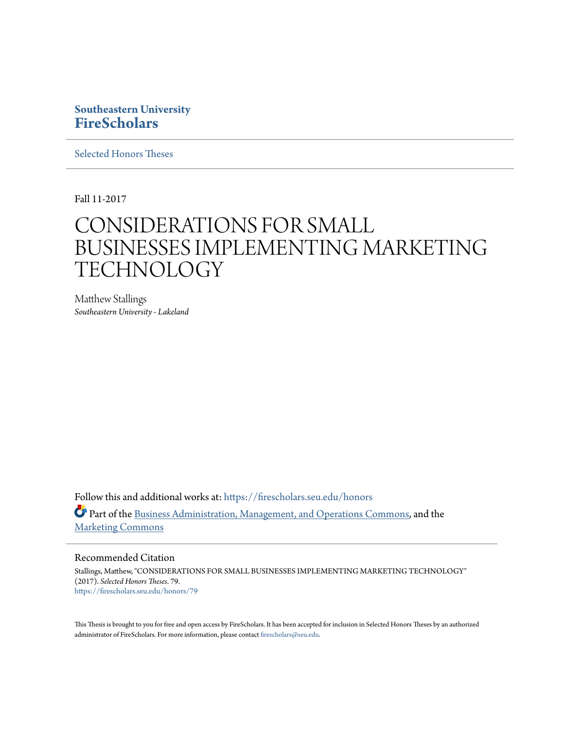# **Southeastern University [FireScholars](https://firescholars.seu.edu?utm_source=firescholars.seu.edu%2Fhonors%2F79&utm_medium=PDF&utm_campaign=PDFCoverPages)**

[Selected Honors Theses](https://firescholars.seu.edu/honors?utm_source=firescholars.seu.edu%2Fhonors%2F79&utm_medium=PDF&utm_campaign=PDFCoverPages)

Fall 11-2017

# CONSIDERATIONS FOR SMALL BUSINESSES IMPLEMENTING MARKETING **TECHNOLOGY**

Matthew Stallings *Southeastern University - Lakeland*

Follow this and additional works at: [https://firescholars.seu.edu/honors](https://firescholars.seu.edu/honors?utm_source=firescholars.seu.edu%2Fhonors%2F79&utm_medium=PDF&utm_campaign=PDFCoverPages) Part of the [Business Administration, Management, and Operations Commons](http://network.bepress.com/hgg/discipline/623?utm_source=firescholars.seu.edu%2Fhonors%2F79&utm_medium=PDF&utm_campaign=PDFCoverPages), and the [Marketing Commons](http://network.bepress.com/hgg/discipline/638?utm_source=firescholars.seu.edu%2Fhonors%2F79&utm_medium=PDF&utm_campaign=PDFCoverPages)

#### Recommended Citation

Stallings, Matthew, "CONSIDERATIONS FOR SMALL BUSINESSES IMPLEMENTING MARKETING TECHNOLOGY" (2017). *Selected Honors Theses*. 79. [https://firescholars.seu.edu/honors/79](https://firescholars.seu.edu/honors/79?utm_source=firescholars.seu.edu%2Fhonors%2F79&utm_medium=PDF&utm_campaign=PDFCoverPages)

This Thesis is brought to you for free and open access by FireScholars. It has been accepted for inclusion in Selected Honors Theses by an authorized administrator of FireScholars. For more information, please contact [firescholars@seu.edu](mailto:firescholars@seu.edu).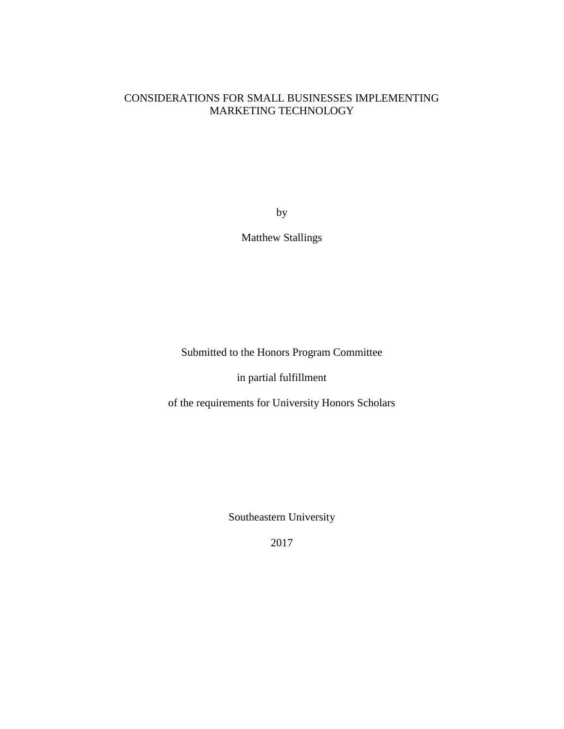# CONSIDERATIONS FOR SMALL BUSINESSES IMPLEMENTING MARKETING TECHNOLOGY

by

Matthew Stallings

Submitted to the Honors Program Committee

in partial fulfillment

of the requirements for University Honors Scholars

Southeastern University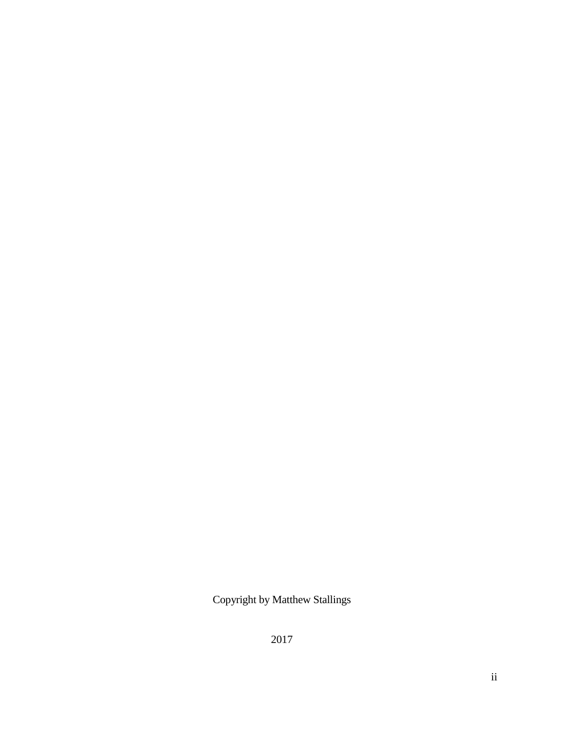Copyright by Matthew Stallings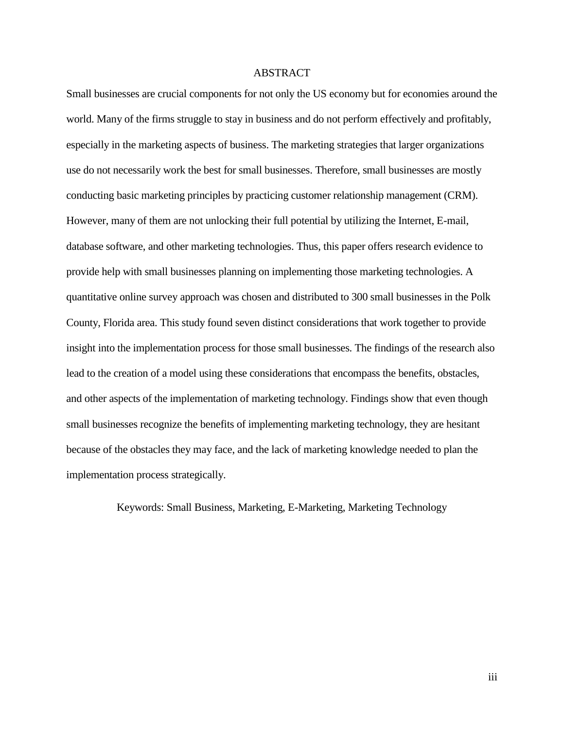## ABSTRACT

Small businesses are crucial components for not only the US economy but for economies around the world. Many of the firms struggle to stay in business and do not perform effectively and profitably, especially in the marketing aspects of business. The marketing strategies that larger organizations use do not necessarily work the best for small businesses. Therefore, small businesses are mostly conducting basic marketing principles by practicing customer relationship management (CRM). However, many of them are not unlocking their full potential by utilizing the Internet, E-mail, database software, and other marketing technologies. Thus, this paper offers research evidence to provide help with small businesses planning on implementing those marketing technologies. A quantitative online survey approach was chosen and distributed to 300 small businesses in the Polk County, Florida area. This study found seven distinct considerations that work together to provide insight into the implementation process for those small businesses. The findings of the research also lead to the creation of a model using these considerations that encompass the benefits, obstacles, and other aspects of the implementation of marketing technology. Findings show that even though small businesses recognize the benefits of implementing marketing technology, they are hesitant because of the obstacles they may face, and the lack of marketing knowledge needed to plan the implementation process strategically.

Keywords: Small Business, Marketing, E-Marketing, Marketing Technology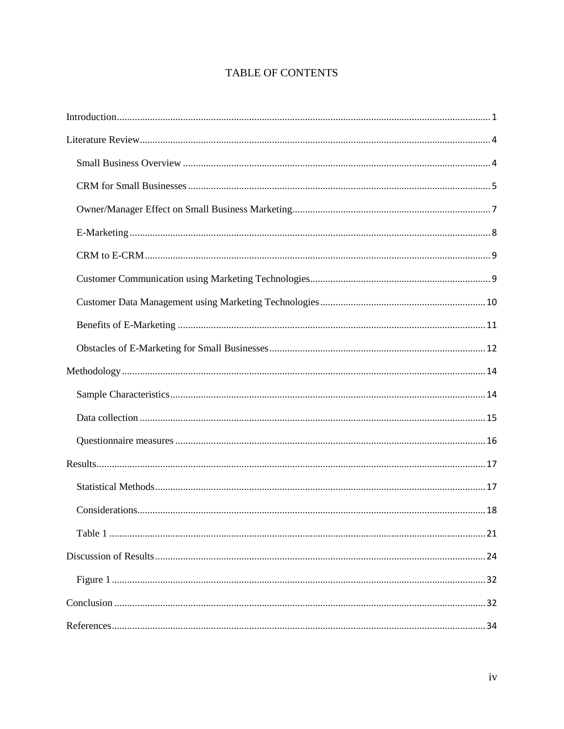# TABLE OF CONTENTS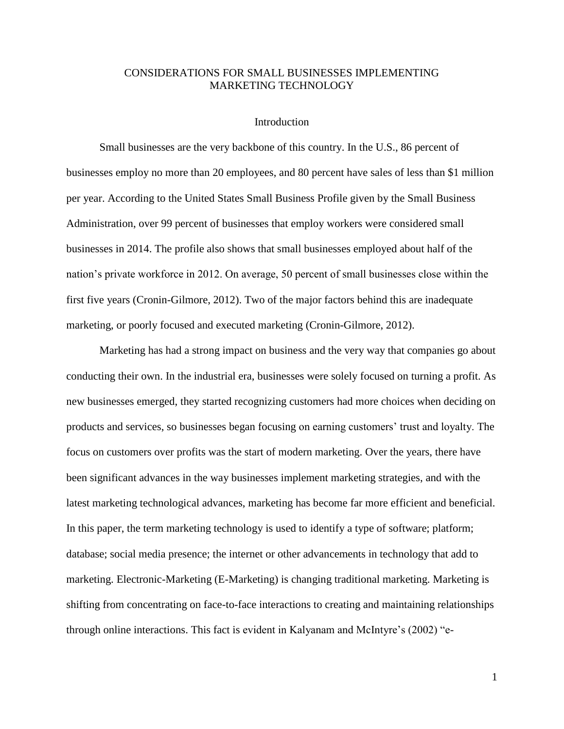# <span id="page-5-0"></span>CONSIDERATIONS FOR SMALL BUSINESSES IMPLEMENTING MARKETING TECHNOLOGY

## Introduction

Small businesses are the very backbone of this country. In the U.S., 86 percent of businesses employ no more than 20 employees, and 80 percent have sales of less than \$1 million per year. According to the United States Small Business Profile given by the Small Business Administration, over 99 percent of businesses that employ workers were considered small businesses in 2014. The profile also shows that small businesses employed about half of the nation's private workforce in 2012. On average, 50 percent of small businesses close within the first five years (Cronin-Gilmore, 2012). Two of the major factors behind this are inadequate marketing, or poorly focused and executed marketing (Cronin-Gilmore, 2012).

Marketing has had a strong impact on business and the very way that companies go about conducting their own. In the industrial era, businesses were solely focused on turning a profit. As new businesses emerged, they started recognizing customers had more choices when deciding on products and services, so businesses began focusing on earning customers' trust and loyalty. The focus on customers over profits was the start of modern marketing. Over the years, there have been significant advances in the way businesses implement marketing strategies, and with the latest marketing technological advances, marketing has become far more efficient and beneficial. In this paper, the term marketing technology is used to identify a type of software; platform; database; social media presence; the internet or other advancements in technology that add to marketing. Electronic-Marketing (E-Marketing) is changing traditional marketing. Marketing is shifting from concentrating on face-to-face interactions to creating and maintaining relationships through online interactions. This fact is evident in Kalyanam and McIntyre's (2002) "e-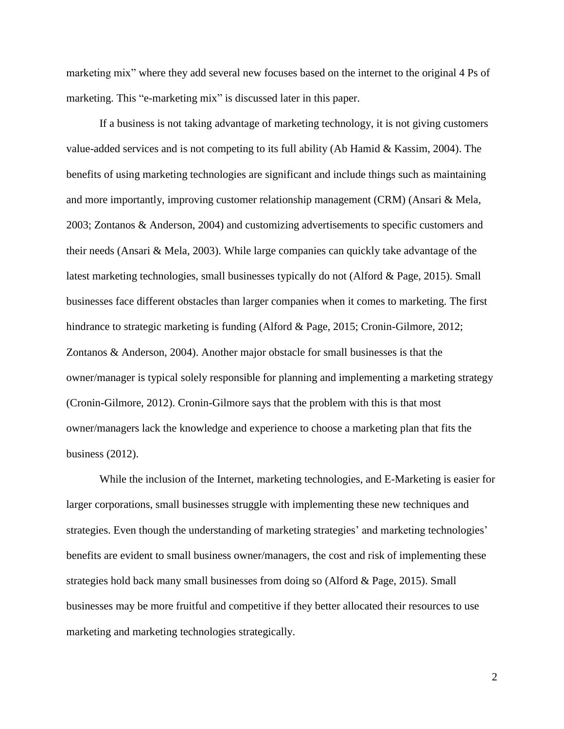marketing mix" where they add several new focuses based on the internet to the original 4 Ps of marketing. This "e-marketing mix" is discussed later in this paper.

If a business is not taking advantage of marketing technology, it is not giving customers value-added services and is not competing to its full ability (Ab Hamid & Kassim, 2004). The benefits of using marketing technologies are significant and include things such as maintaining and more importantly, improving customer relationship management (CRM) (Ansari & Mela, 2003; Zontanos & Anderson, 2004) and customizing advertisements to specific customers and their needs (Ansari & Mela, 2003). While large companies can quickly take advantage of the latest marketing technologies, small businesses typically do not (Alford & Page, 2015). Small businesses face different obstacles than larger companies when it comes to marketing. The first hindrance to strategic marketing is funding (Alford & Page, 2015; Cronin-Gilmore, 2012; Zontanos & Anderson, 2004). Another major obstacle for small businesses is that the owner/manager is typical solely responsible for planning and implementing a marketing strategy (Cronin-Gilmore, 2012). Cronin-Gilmore says that the problem with this is that most owner/managers lack the knowledge and experience to choose a marketing plan that fits the business (2012).

While the inclusion of the Internet, marketing technologies, and E-Marketing is easier for larger corporations, small businesses struggle with implementing these new techniques and strategies. Even though the understanding of marketing strategies' and marketing technologies' benefits are evident to small business owner/managers, the cost and risk of implementing these strategies hold back many small businesses from doing so (Alford & Page, 2015). Small businesses may be more fruitful and competitive if they better allocated their resources to use marketing and marketing technologies strategically.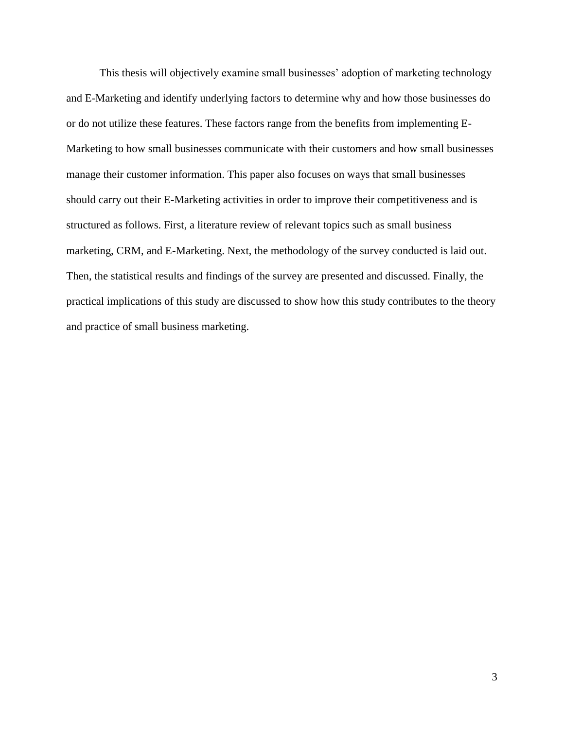This thesis will objectively examine small businesses' adoption of marketing technology and E-Marketing and identify underlying factors to determine why and how those businesses do or do not utilize these features. These factors range from the benefits from implementing E-Marketing to how small businesses communicate with their customers and how small businesses manage their customer information. This paper also focuses on ways that small businesses should carry out their E-Marketing activities in order to improve their competitiveness and is structured as follows. First, a literature review of relevant topics such as small business marketing, CRM, and E-Marketing. Next, the methodology of the survey conducted is laid out. Then, the statistical results and findings of the survey are presented and discussed. Finally, the practical implications of this study are discussed to show how this study contributes to the theory and practice of small business marketing.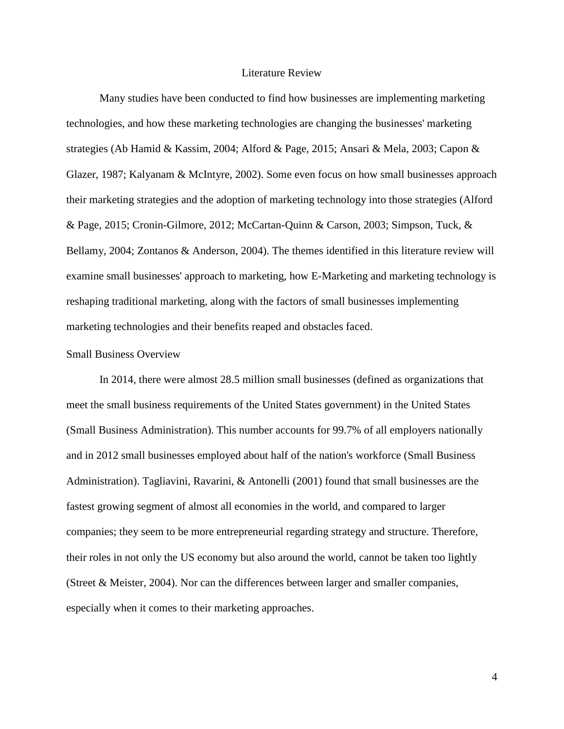#### Literature Review

<span id="page-8-0"></span>Many studies have been conducted to find how businesses are implementing marketing technologies, and how these marketing technologies are changing the businesses' marketing strategies (Ab Hamid & Kassim, 2004; Alford & Page, 2015; Ansari & Mela, 2003; Capon & Glazer, 1987; Kalyanam & McIntyre, 2002). Some even focus on how small businesses approach their marketing strategies and the adoption of marketing technology into those strategies (Alford & Page, 2015; Cronin-Gilmore, 2012; McCartan-Quinn & Carson, 2003; Simpson, Tuck, & Bellamy, 2004; Zontanos & Anderson, 2004). The themes identified in this literature review will examine small businesses' approach to marketing, how E-Marketing and marketing technology is reshaping traditional marketing, along with the factors of small businesses implementing marketing technologies and their benefits reaped and obstacles faced.

#### <span id="page-8-1"></span>Small Business Overview

In 2014, there were almost 28.5 million small businesses (defined as organizations that meet the small business requirements of the United States government) in the United States (Small Business Administration). This number accounts for 99.7% of all employers nationally and in 2012 small businesses employed about half of the nation's workforce (Small Business Administration). Tagliavini, Ravarini, & Antonelli (2001) found that small businesses are the fastest growing segment of almost all economies in the world, and compared to larger companies; they seem to be more entrepreneurial regarding strategy and structure. Therefore, their roles in not only the US economy but also around the world, cannot be taken too lightly (Street & Meister, 2004). Nor can the differences between larger and smaller companies, especially when it comes to their marketing approaches.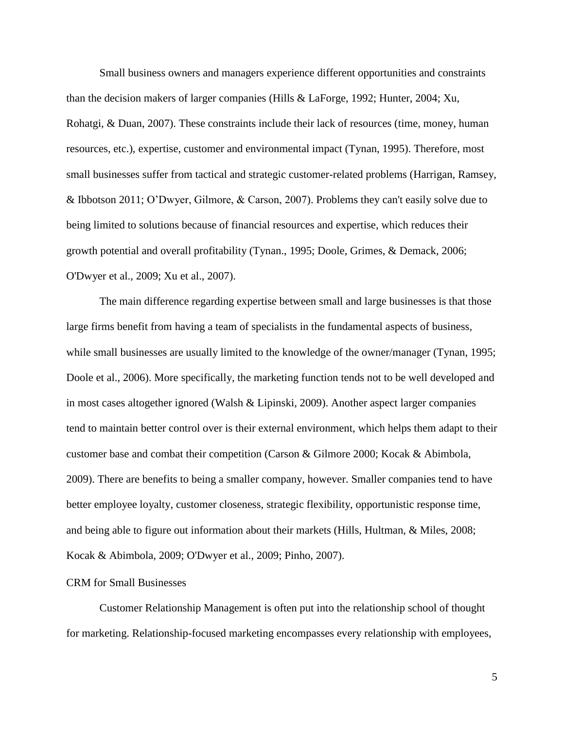Small business owners and managers experience different opportunities and constraints than the decision makers of larger companies (Hills & LaForge, 1992; Hunter, 2004; Xu, Rohatgi, & Duan, 2007). These constraints include their lack of resources (time, money, human resources, etc.), expertise, customer and environmental impact (Tynan, 1995). Therefore, most small businesses suffer from tactical and strategic customer-related problems (Harrigan, Ramsey, & Ibbotson 2011; O'Dwyer, Gilmore, & Carson, 2007). Problems they can't easily solve due to being limited to solutions because of financial resources and expertise, which reduces their growth potential and overall profitability (Tynan., 1995; Doole, Grimes, & Demack, 2006; O'Dwyer et al., 2009; Xu et al., 2007).

The main difference regarding expertise between small and large businesses is that those large firms benefit from having a team of specialists in the fundamental aspects of business, while small businesses are usually limited to the knowledge of the owner/manager (Tynan, 1995; Doole et al., 2006). More specifically, the marketing function tends not to be well developed and in most cases altogether ignored (Walsh & Lipinski, 2009). Another aspect larger companies tend to maintain better control over is their external environment, which helps them adapt to their customer base and combat their competition (Carson & Gilmore 2000; Kocak & Abimbola, 2009). There are benefits to being a smaller company, however. Smaller companies tend to have better employee loyalty, customer closeness, strategic flexibility, opportunistic response time, and being able to figure out information about their markets (Hills, Hultman, & Miles, 2008; Kocak & Abimbola, 2009; O'Dwyer et al., 2009; Pinho, 2007).

# <span id="page-9-0"></span>CRM for Small Businesses

Customer Relationship Management is often put into the relationship school of thought for marketing. Relationship-focused marketing encompasses every relationship with employees,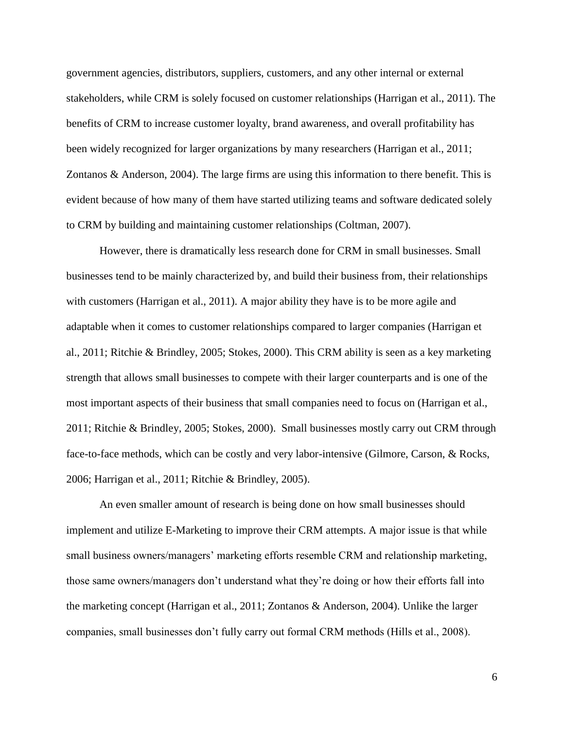government agencies, distributors, suppliers, customers, and any other internal or external stakeholders, while CRM is solely focused on customer relationships (Harrigan et al., 2011). The benefits of CRM to increase customer loyalty, brand awareness, and overall profitability has been widely recognized for larger organizations by many researchers (Harrigan et al., 2011; Zontanos & Anderson, 2004). The large firms are using this information to there benefit. This is evident because of how many of them have started utilizing teams and software dedicated solely to CRM by building and maintaining customer relationships (Coltman, 2007).

However, there is dramatically less research done for CRM in small businesses. Small businesses tend to be mainly characterized by, and build their business from, their relationships with customers (Harrigan et al., 2011). A major ability they have is to be more agile and adaptable when it comes to customer relationships compared to larger companies (Harrigan et al., 2011; Ritchie & Brindley, 2005; Stokes, 2000). This CRM ability is seen as a key marketing strength that allows small businesses to compete with their larger counterparts and is one of the most important aspects of their business that small companies need to focus on (Harrigan et al., 2011; Ritchie & Brindley, 2005; Stokes, 2000). Small businesses mostly carry out CRM through face-to-face methods, which can be costly and very labor-intensive (Gilmore, Carson, & Rocks, 2006; Harrigan et al., 2011; Ritchie & Brindley, 2005).

An even smaller amount of research is being done on how small businesses should implement and utilize E-Marketing to improve their CRM attempts. A major issue is that while small business owners/managers' marketing efforts resemble CRM and relationship marketing, those same owners/managers don't understand what they're doing or how their efforts fall into the marketing concept (Harrigan et al., 2011; Zontanos & Anderson, 2004). Unlike the larger companies, small businesses don't fully carry out formal CRM methods (Hills et al., 2008).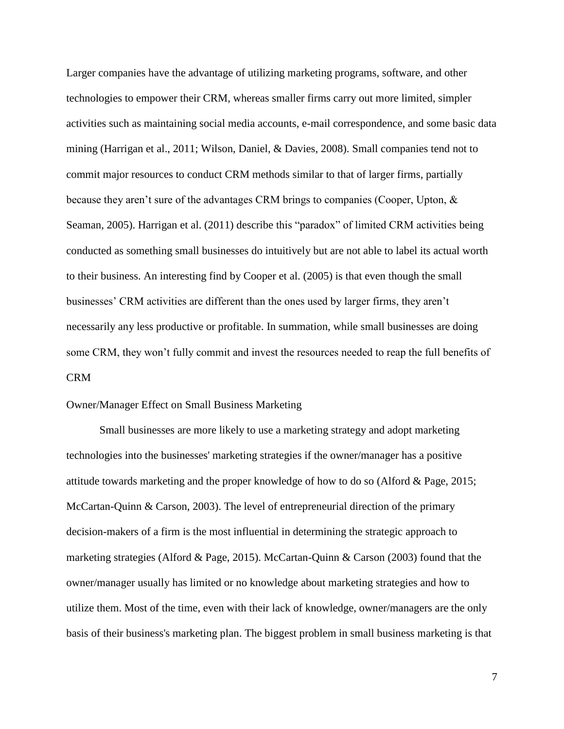Larger companies have the advantage of utilizing marketing programs, software, and other technologies to empower their CRM, whereas smaller firms carry out more limited, simpler activities such as maintaining social media accounts, e-mail correspondence, and some basic data mining (Harrigan et al., 2011; Wilson, Daniel, & Davies, 2008). Small companies tend not to commit major resources to conduct CRM methods similar to that of larger firms, partially because they aren't sure of the advantages CRM brings to companies (Cooper, Upton, & Seaman, 2005). Harrigan et al. (2011) describe this "paradox" of limited CRM activities being conducted as something small businesses do intuitively but are not able to label its actual worth to their business. An interesting find by Cooper et al. (2005) is that even though the small businesses' CRM activities are different than the ones used by larger firms, they aren't necessarily any less productive or profitable. In summation, while small businesses are doing some CRM, they won't fully commit and invest the resources needed to reap the full benefits of CRM

# <span id="page-11-0"></span>Owner/Manager Effect on Small Business Marketing

Small businesses are more likely to use a marketing strategy and adopt marketing technologies into the businesses' marketing strategies if the owner/manager has a positive attitude towards marketing and the proper knowledge of how to do so (Alford & Page, 2015; McCartan-Quinn & Carson, 2003). The level of entrepreneurial direction of the primary decision-makers of a firm is the most influential in determining the strategic approach to marketing strategies (Alford & Page, 2015). McCartan-Quinn & Carson (2003) found that the owner/manager usually has limited or no knowledge about marketing strategies and how to utilize them. Most of the time, even with their lack of knowledge, owner/managers are the only basis of their business's marketing plan. The biggest problem in small business marketing is that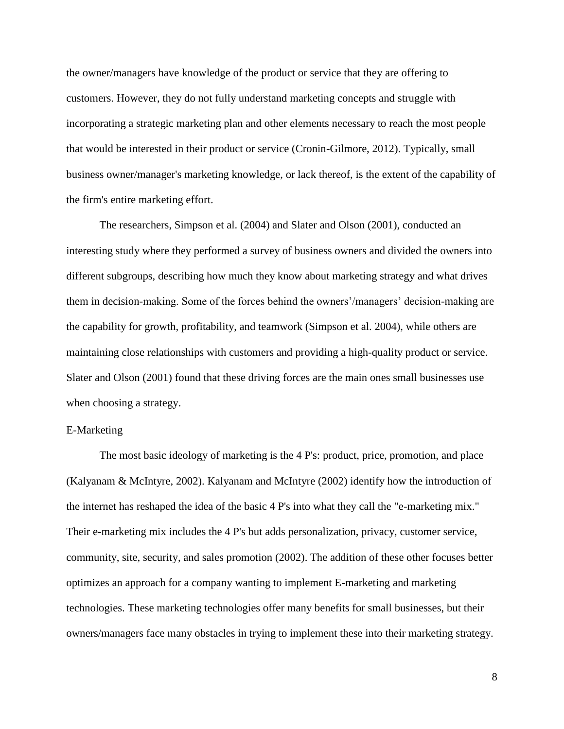the owner/managers have knowledge of the product or service that they are offering to customers. However, they do not fully understand marketing concepts and struggle with incorporating a strategic marketing plan and other elements necessary to reach the most people that would be interested in their product or service (Cronin-Gilmore, 2012). Typically, small business owner/manager's marketing knowledge, or lack thereof, is the extent of the capability of the firm's entire marketing effort.

The researchers, Simpson et al. (2004) and Slater and Olson (2001), conducted an interesting study where they performed a survey of business owners and divided the owners into different subgroups, describing how much they know about marketing strategy and what drives them in decision-making. Some of the forces behind the owners'/managers' decision-making are the capability for growth, profitability, and teamwork (Simpson et al. 2004), while others are maintaining close relationships with customers and providing a high-quality product or service. Slater and Olson (2001) found that these driving forces are the main ones small businesses use when choosing a strategy.

# <span id="page-12-0"></span>E-Marketing

The most basic ideology of marketing is the 4 P's: product, price, promotion, and place (Kalyanam & McIntyre, 2002). Kalyanam and McIntyre (2002) identify how the introduction of the internet has reshaped the idea of the basic 4 P's into what they call the "e-marketing mix." Their e-marketing mix includes the 4 P's but adds personalization, privacy, customer service, community, site, security, and sales promotion (2002). The addition of these other focuses better optimizes an approach for a company wanting to implement E-marketing and marketing technologies. These marketing technologies offer many benefits for small businesses, but their owners/managers face many obstacles in trying to implement these into their marketing strategy.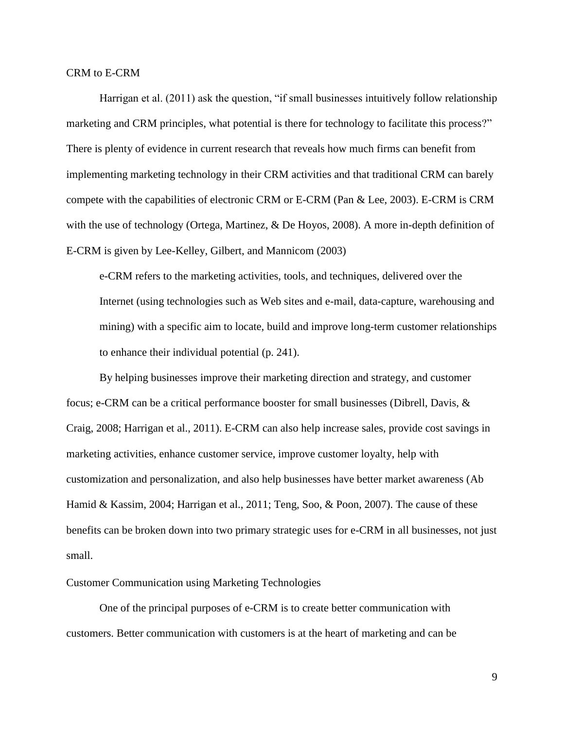<span id="page-13-0"></span>CRM to E-CRM

Harrigan et al. (2011) ask the question, "if small businesses intuitively follow relationship marketing and CRM principles, what potential is there for technology to facilitate this process?" There is plenty of evidence in current research that reveals how much firms can benefit from implementing marketing technology in their CRM activities and that traditional CRM can barely compete with the capabilities of electronic CRM or E-CRM (Pan & Lee, 2003). E-CRM is CRM with the use of technology (Ortega, Martinez, & De Hoyos, 2008). A more in-depth definition of E-CRM is given by Lee-Kelley, Gilbert, and Mannicom (2003)

e-CRM refers to the marketing activities, tools, and techniques, delivered over the Internet (using technologies such as Web sites and e-mail, data-capture, warehousing and mining) with a specific aim to locate, build and improve long-term customer relationships to enhance their individual potential (p. 241).

By helping businesses improve their marketing direction and strategy, and customer focus; e-CRM can be a critical performance booster for small businesses (Dibrell, Davis, & Craig, 2008; Harrigan et al., 2011). E-CRM can also help increase sales, provide cost savings in marketing activities, enhance customer service, improve customer loyalty, help with customization and personalization, and also help businesses have better market awareness (Ab Hamid & Kassim, 2004; Harrigan et al., 2011; Teng, Soo, & Poon, 2007). The cause of these benefits can be broken down into two primary strategic uses for e-CRM in all businesses, not just small.

<span id="page-13-1"></span>Customer Communication using Marketing Technologies

One of the principal purposes of e-CRM is to create better communication with customers. Better communication with customers is at the heart of marketing and can be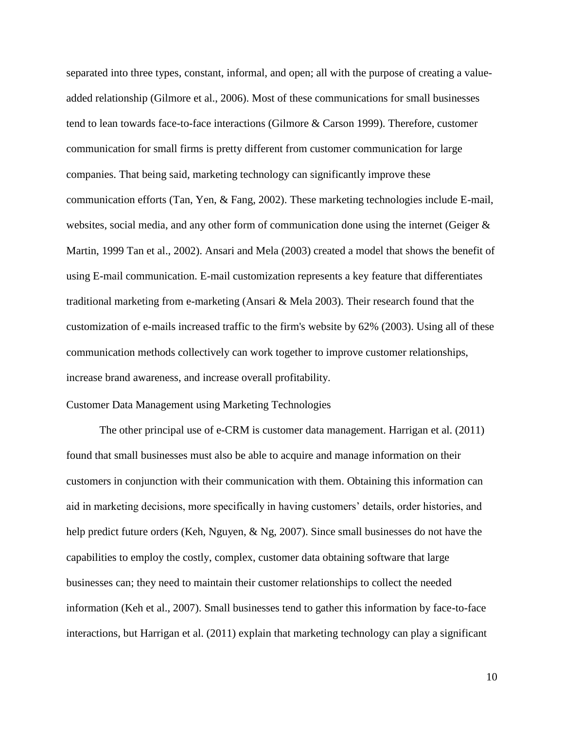separated into three types, constant, informal, and open; all with the purpose of creating a valueadded relationship (Gilmore et al., 2006). Most of these communications for small businesses tend to lean towards face-to-face interactions (Gilmore & Carson 1999). Therefore, customer communication for small firms is pretty different from customer communication for large companies. That being said, marketing technology can significantly improve these communication efforts (Tan, Yen, & Fang, 2002). These marketing technologies include E-mail, websites, social media, and any other form of communication done using the internet (Geiger & Martin, 1999 Tan et al., 2002). Ansari and Mela (2003) created a model that shows the benefit of using E-mail communication. E-mail customization represents a key feature that differentiates traditional marketing from e-marketing (Ansari & Mela 2003). Their research found that the customization of e-mails increased traffic to the firm's website by 62% (2003). Using all of these communication methods collectively can work together to improve customer relationships, increase brand awareness, and increase overall profitability.

# <span id="page-14-0"></span>Customer Data Management using Marketing Technologies

The other principal use of e-CRM is customer data management. Harrigan et al. (2011) found that small businesses must also be able to acquire and manage information on their customers in conjunction with their communication with them. Obtaining this information can aid in marketing decisions, more specifically in having customers' details, order histories, and help predict future orders (Keh, Nguyen, & Ng, 2007). Since small businesses do not have the capabilities to employ the costly, complex, customer data obtaining software that large businesses can; they need to maintain their customer relationships to collect the needed information (Keh et al., 2007). Small businesses tend to gather this information by face-to-face interactions, but Harrigan et al. (2011) explain that marketing technology can play a significant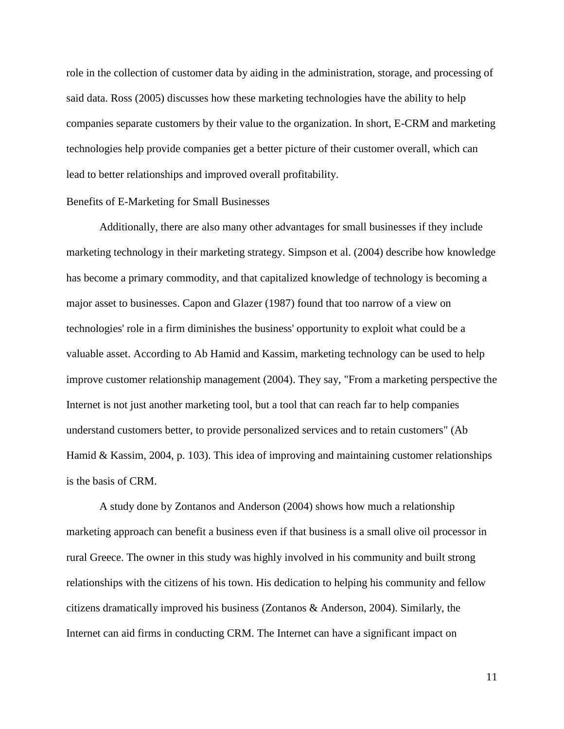role in the collection of customer data by aiding in the administration, storage, and processing of said data. Ross (2005) discusses how these marketing technologies have the ability to help companies separate customers by their value to the organization. In short, E-CRM and marketing technologies help provide companies get a better picture of their customer overall, which can lead to better relationships and improved overall profitability.

#### <span id="page-15-0"></span>Benefits of E-Marketing for Small Businesses

Additionally, there are also many other advantages for small businesses if they include marketing technology in their marketing strategy. Simpson et al. (2004) describe how knowledge has become a primary commodity, and that capitalized knowledge of technology is becoming a major asset to businesses. Capon and Glazer (1987) found that too narrow of a view on technologies' role in a firm diminishes the business' opportunity to exploit what could be a valuable asset. According to Ab Hamid and Kassim, marketing technology can be used to help improve customer relationship management (2004). They say, "From a marketing perspective the Internet is not just another marketing tool, but a tool that can reach far to help companies understand customers better, to provide personalized services and to retain customers" (Ab Hamid & Kassim, 2004, p. 103). This idea of improving and maintaining customer relationships is the basis of CRM.

A study done by Zontanos and Anderson (2004) shows how much a relationship marketing approach can benefit a business even if that business is a small olive oil processor in rural Greece. The owner in this study was highly involved in his community and built strong relationships with the citizens of his town. His dedication to helping his community and fellow citizens dramatically improved his business (Zontanos & Anderson, 2004). Similarly, the Internet can aid firms in conducting CRM. The Internet can have a significant impact on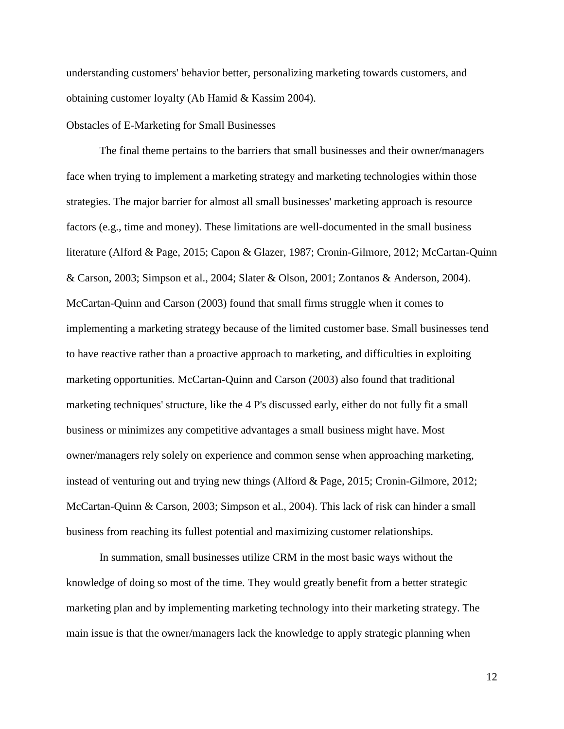understanding customers' behavior better, personalizing marketing towards customers, and obtaining customer loyalty (Ab Hamid & Kassim 2004).

#### <span id="page-16-0"></span>Obstacles of E-Marketing for Small Businesses

The final theme pertains to the barriers that small businesses and their owner/managers face when trying to implement a marketing strategy and marketing technologies within those strategies. The major barrier for almost all small businesses' marketing approach is resource factors (e.g., time and money). These limitations are well-documented in the small business literature (Alford & Page, 2015; Capon & Glazer, 1987; Cronin-Gilmore, 2012; McCartan-Quinn & Carson, 2003; Simpson et al., 2004; Slater & Olson, 2001; Zontanos & Anderson, 2004). McCartan-Quinn and Carson (2003) found that small firms struggle when it comes to implementing a marketing strategy because of the limited customer base. Small businesses tend to have reactive rather than a proactive approach to marketing, and difficulties in exploiting marketing opportunities. McCartan-Quinn and Carson (2003) also found that traditional marketing techniques' structure, like the 4 P's discussed early, either do not fully fit a small business or minimizes any competitive advantages a small business might have. Most owner/managers rely solely on experience and common sense when approaching marketing, instead of venturing out and trying new things (Alford & Page, 2015; Cronin-Gilmore, 2012; McCartan-Quinn & Carson, 2003; Simpson et al., 2004). This lack of risk can hinder a small business from reaching its fullest potential and maximizing customer relationships.

In summation, small businesses utilize CRM in the most basic ways without the knowledge of doing so most of the time. They would greatly benefit from a better strategic marketing plan and by implementing marketing technology into their marketing strategy. The main issue is that the owner/managers lack the knowledge to apply strategic planning when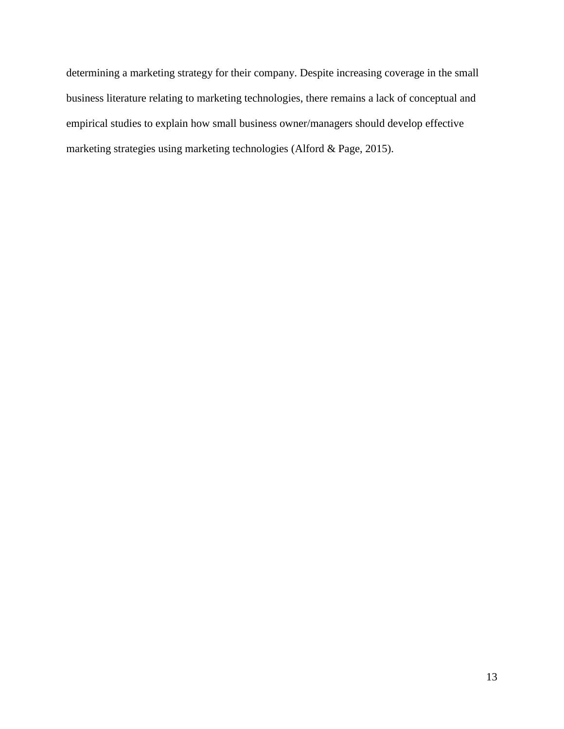determining a marketing strategy for their company. Despite increasing coverage in the small business literature relating to marketing technologies, there remains a lack of conceptual and empirical studies to explain how small business owner/managers should develop effective marketing strategies using marketing technologies (Alford & Page, 2015).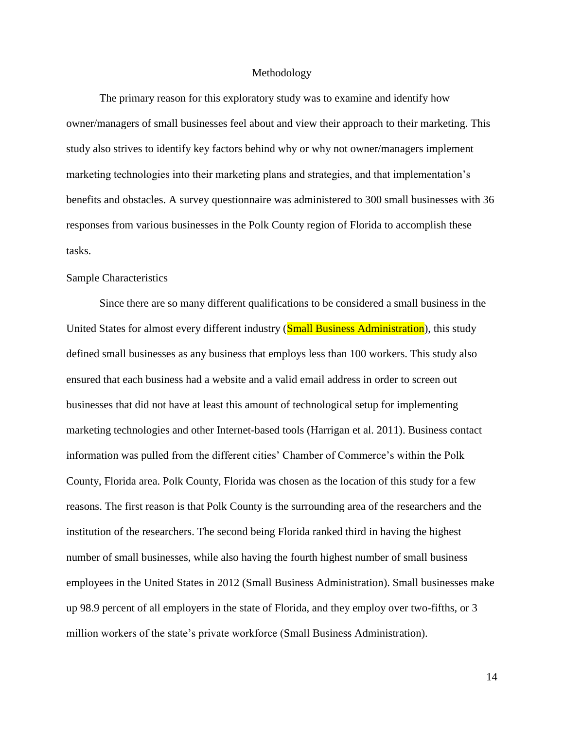#### Methodology

<span id="page-18-0"></span>The primary reason for this exploratory study was to examine and identify how owner/managers of small businesses feel about and view their approach to their marketing. This study also strives to identify key factors behind why or why not owner/managers implement marketing technologies into their marketing plans and strategies, and that implementation's benefits and obstacles. A survey questionnaire was administered to 300 small businesses with 36 responses from various businesses in the Polk County region of Florida to accomplish these tasks.

#### <span id="page-18-1"></span>Sample Characteristics

Since there are so many different qualifications to be considered a small business in the United States for almost every different industry (**Small Business Administration**), this study defined small businesses as any business that employs less than 100 workers. This study also ensured that each business had a website and a valid email address in order to screen out businesses that did not have at least this amount of technological setup for implementing marketing technologies and other Internet-based tools (Harrigan et al. 2011). Business contact information was pulled from the different cities' Chamber of Commerce's within the Polk County, Florida area. Polk County, Florida was chosen as the location of this study for a few reasons. The first reason is that Polk County is the surrounding area of the researchers and the institution of the researchers. The second being Florida ranked third in having the highest number of small businesses, while also having the fourth highest number of small business employees in the United States in 2012 (Small Business Administration). Small businesses make up 98.9 percent of all employers in the state of Florida, and they employ over two-fifths, or 3 million workers of the state's private workforce (Small Business Administration).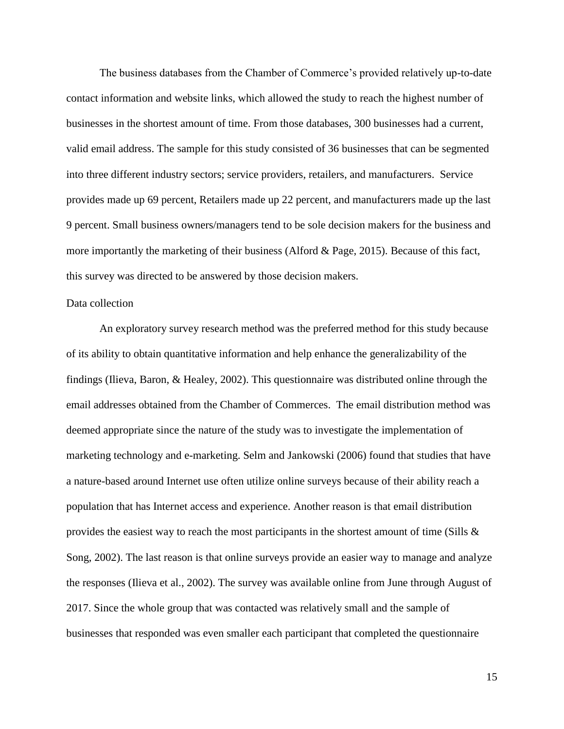The business databases from the Chamber of Commerce's provided relatively up-to-date contact information and website links, which allowed the study to reach the highest number of businesses in the shortest amount of time. From those databases, 300 businesses had a current, valid email address. The sample for this study consisted of 36 businesses that can be segmented into three different industry sectors; service providers, retailers, and manufacturers. Service provides made up 69 percent, Retailers made up 22 percent, and manufacturers made up the last 9 percent. Small business owners/managers tend to be sole decision makers for the business and more importantly the marketing of their business (Alford & Page, 2015). Because of this fact, this survey was directed to be answered by those decision makers.

# <span id="page-19-0"></span>Data collection

An exploratory survey research method was the preferred method for this study because of its ability to obtain quantitative information and help enhance the generalizability of the findings (Ilieva, Baron, & Healey, 2002). This questionnaire was distributed online through the email addresses obtained from the Chamber of Commerces. The email distribution method was deemed appropriate since the nature of the study was to investigate the implementation of marketing technology and e-marketing. Selm and Jankowski (2006) found that studies that have a nature-based around Internet use often utilize online surveys because of their ability reach a population that has Internet access and experience. Another reason is that email distribution provides the easiest way to reach the most participants in the shortest amount of time (Sills  $\&$ Song, 2002). The last reason is that online surveys provide an easier way to manage and analyze the responses (Ilieva et al., 2002). The survey was available online from June through August of 2017. Since the whole group that was contacted was relatively small and the sample of businesses that responded was even smaller each participant that completed the questionnaire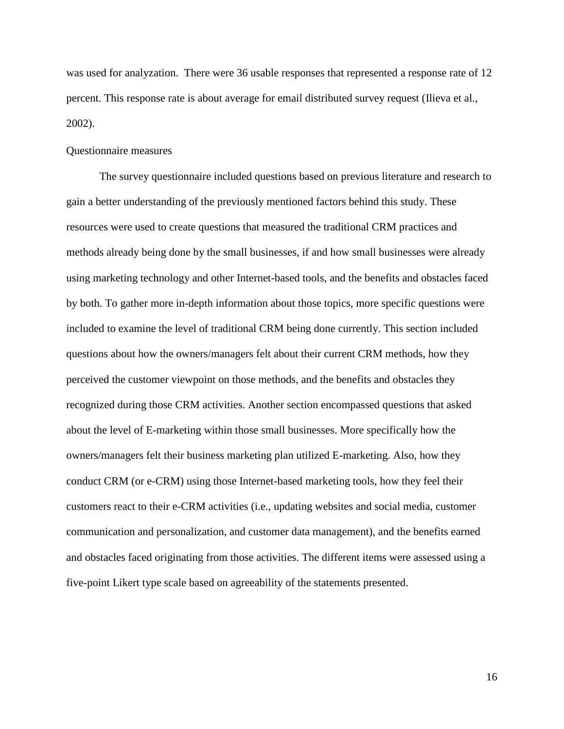was used for analyzation. There were 36 usable responses that represented a response rate of 12 percent. This response rate is about average for email distributed survey request (Ilieva et al., 2002).

#### <span id="page-20-0"></span>Questionnaire measures

The survey questionnaire included questions based on previous literature and research to gain a better understanding of the previously mentioned factors behind this study. These resources were used to create questions that measured the traditional CRM practices and methods already being done by the small businesses, if and how small businesses were already using marketing technology and other Internet-based tools, and the benefits and obstacles faced by both. To gather more in-depth information about those topics, more specific questions were included to examine the level of traditional CRM being done currently. This section included questions about how the owners/managers felt about their current CRM methods, how they perceived the customer viewpoint on those methods, and the benefits and obstacles they recognized during those CRM activities. Another section encompassed questions that asked about the level of E-marketing within those small businesses. More specifically how the owners/managers felt their business marketing plan utilized E-marketing. Also, how they conduct CRM (or e-CRM) using those Internet-based marketing tools, how they feel their customers react to their e-CRM activities (i.e., updating websites and social media, customer communication and personalization, and customer data management), and the benefits earned and obstacles faced originating from those activities. The different items were assessed using a five-point Likert type scale based on agreeability of the statements presented.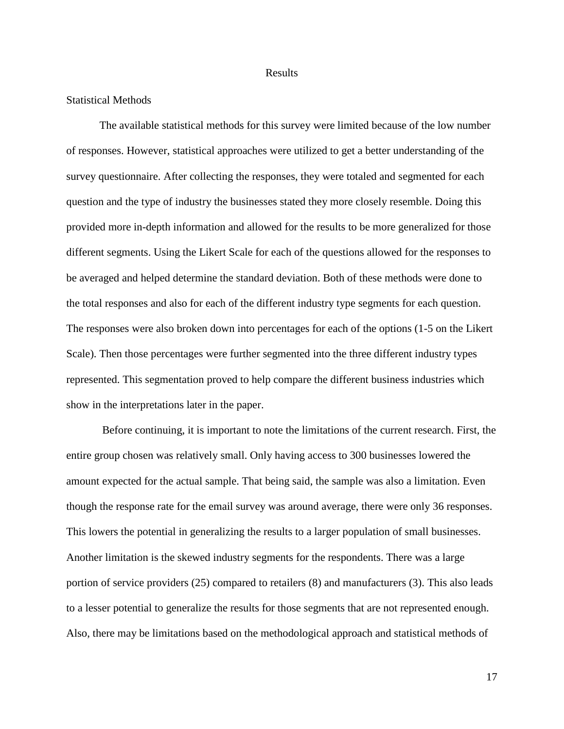#### Results

#### <span id="page-21-1"></span><span id="page-21-0"></span>Statistical Methods

The available statistical methods for this survey were limited because of the low number of responses. However, statistical approaches were utilized to get a better understanding of the survey questionnaire. After collecting the responses, they were totaled and segmented for each question and the type of industry the businesses stated they more closely resemble. Doing this provided more in-depth information and allowed for the results to be more generalized for those different segments. Using the Likert Scale for each of the questions allowed for the responses to be averaged and helped determine the standard deviation. Both of these methods were done to the total responses and also for each of the different industry type segments for each question. The responses were also broken down into percentages for each of the options (1-5 on the Likert Scale). Then those percentages were further segmented into the three different industry types represented. This segmentation proved to help compare the different business industries which show in the interpretations later in the paper.

Before continuing, it is important to note the limitations of the current research. First, the entire group chosen was relatively small. Only having access to 300 businesses lowered the amount expected for the actual sample. That being said, the sample was also a limitation. Even though the response rate for the email survey was around average, there were only 36 responses. This lowers the potential in generalizing the results to a larger population of small businesses. Another limitation is the skewed industry segments for the respondents. There was a large portion of service providers (25) compared to retailers (8) and manufacturers (3). This also leads to a lesser potential to generalize the results for those segments that are not represented enough. Also, there may be limitations based on the methodological approach and statistical methods of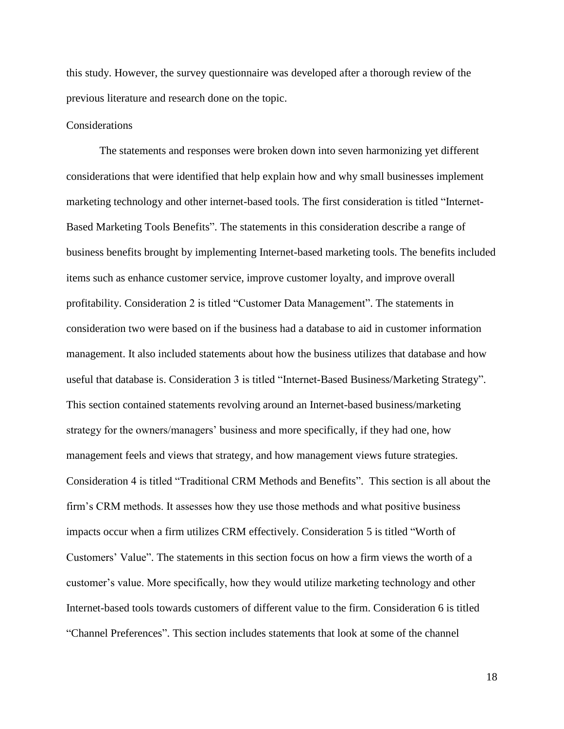this study. However, the survey questionnaire was developed after a thorough review of the previous literature and research done on the topic.

#### <span id="page-22-0"></span>**Considerations**

The statements and responses were broken down into seven harmonizing yet different considerations that were identified that help explain how and why small businesses implement marketing technology and other internet-based tools. The first consideration is titled "Internet-Based Marketing Tools Benefits". The statements in this consideration describe a range of business benefits brought by implementing Internet-based marketing tools. The benefits included items such as enhance customer service, improve customer loyalty, and improve overall profitability. Consideration 2 is titled "Customer Data Management". The statements in consideration two were based on if the business had a database to aid in customer information management. It also included statements about how the business utilizes that database and how useful that database is. Consideration 3 is titled "Internet-Based Business/Marketing Strategy". This section contained statements revolving around an Internet-based business/marketing strategy for the owners/managers' business and more specifically, if they had one, how management feels and views that strategy, and how management views future strategies. Consideration 4 is titled "Traditional CRM Methods and Benefits". This section is all about the firm's CRM methods. It assesses how they use those methods and what positive business impacts occur when a firm utilizes CRM effectively. Consideration 5 is titled "Worth of Customers' Value". The statements in this section focus on how a firm views the worth of a customer's value. More specifically, how they would utilize marketing technology and other Internet-based tools towards customers of different value to the firm. Consideration 6 is titled "Channel Preferences". This section includes statements that look at some of the channel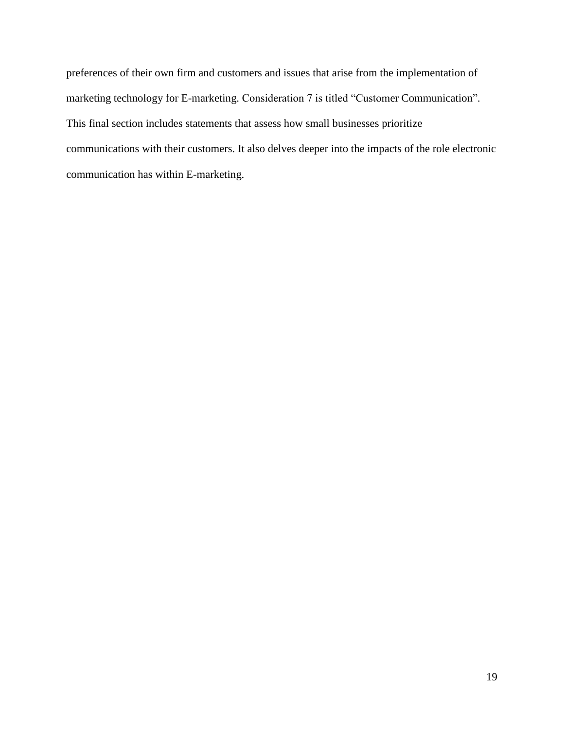preferences of their own firm and customers and issues that arise from the implementation of marketing technology for E-marketing. Consideration 7 is titled "Customer Communication". This final section includes statements that assess how small businesses prioritize communications with their customers. It also delves deeper into the impacts of the role electronic communication has within E-marketing.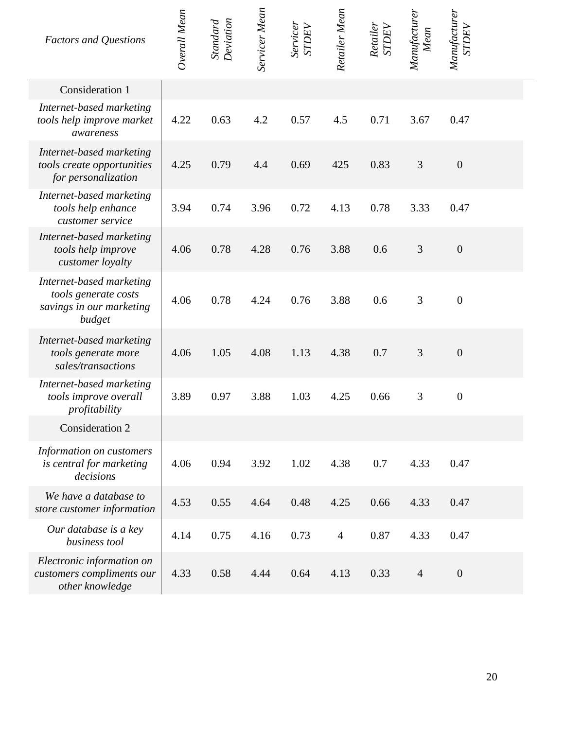| <b>Factors and Questions</b>                                                           | Overall Mean | Deviation<br>Standard | Servicer Mean | Servicer<br><b>STDEV</b> | Retailer Mean  | Retailer<br>STDEV | Manufacturer<br>Mean | Manufacturer<br><b>STDEV</b> |  |
|----------------------------------------------------------------------------------------|--------------|-----------------------|---------------|--------------------------|----------------|-------------------|----------------------|------------------------------|--|
| Consideration 1                                                                        |              |                       |               |                          |                |                   |                      |                              |  |
| Internet-based marketing<br>tools help improve market<br>awareness                     | 4.22         | 0.63                  | 4.2           | 0.57                     | 4.5            | 0.71              | 3.67                 | 0.47                         |  |
| Internet-based marketing<br>tools create opportunities<br>for personalization          | 4.25         | 0.79                  | 4.4           | 0.69                     | 425            | 0.83              | 3                    | $\boldsymbol{0}$             |  |
| Internet-based marketing<br>tools help enhance<br>customer service                     | 3.94         | 0.74                  | 3.96          | 0.72                     | 4.13           | 0.78              | 3.33                 | 0.47                         |  |
| Internet-based marketing<br>tools help improve<br>customer loyalty                     | 4.06         | 0.78                  | 4.28          | 0.76                     | 3.88           | 0.6               | 3                    | $\boldsymbol{0}$             |  |
| Internet-based marketing<br>tools generate costs<br>savings in our marketing<br>budget | 4.06         | 0.78                  | 4.24          | 0.76                     | 3.88           | 0.6               | 3                    | $\overline{0}$               |  |
| Internet-based marketing<br>tools generate more<br>sales/transactions                  | 4.06         | 1.05                  | 4.08          | 1.13                     | 4.38           | 0.7               | 3                    | $\theta$                     |  |
| Internet-based marketing<br>tools improve overall<br>profitability                     | 3.89         | 0.97                  | 3.88          | 1.03                     | 4.25           | 0.66              | 3                    | $\boldsymbol{0}$             |  |
| <b>Consideration 2</b>                                                                 |              |                       |               |                          |                |                   |                      |                              |  |
| Information on customers<br>is central for marketing<br>decisions                      | 4.06         | 0.94                  | 3.92          | 1.02                     | 4.38           | 0.7               | 4.33                 | 0.47                         |  |
| We have a database to<br>store customer information                                    | 4.53         | 0.55                  | 4.64          | 0.48                     | 4.25           | 0.66              | 4.33                 | 0.47                         |  |
| Our database is a key<br>business tool                                                 | 4.14         | 0.75                  | 4.16          | 0.73                     | $\overline{4}$ | 0.87              | 4.33                 | 0.47                         |  |
| Electronic information on<br>customers compliments our<br>other knowledge              | 4.33         | 0.58                  | 4.44          | 0.64                     | 4.13           | 0.33              | $\overline{4}$       | $\mathbf{0}$                 |  |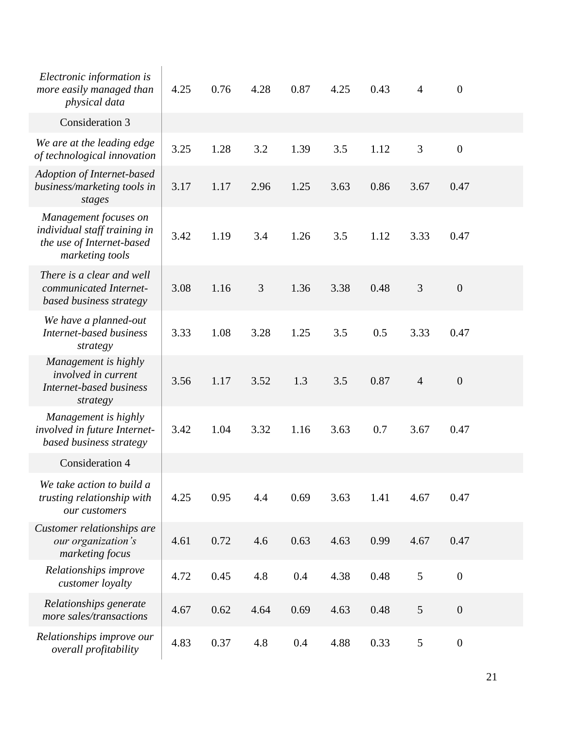| Electronic information is<br>more easily managed than<br>physical data                                | 4.25 | 0.76 | 4.28 | 0.87 | 4.25 | 0.43 | $\overline{4}$ | $\overline{0}$   |  |
|-------------------------------------------------------------------------------------------------------|------|------|------|------|------|------|----------------|------------------|--|
| Consideration 3                                                                                       |      |      |      |      |      |      |                |                  |  |
| We are at the leading edge<br>of technological innovation                                             | 3.25 | 1.28 | 3.2  | 1.39 | 3.5  | 1.12 | 3              | $\overline{0}$   |  |
| Adoption of Internet-based<br>business/marketing tools in<br>stages                                   | 3.17 | 1.17 | 2.96 | 1.25 | 3.63 | 0.86 | 3.67           | 0.47             |  |
| Management focuses on<br>individual staff training in<br>the use of Internet-based<br>marketing tools | 3.42 | 1.19 | 3.4  | 1.26 | 3.5  | 1.12 | 3.33           | 0.47             |  |
| There is a clear and well<br>communicated Internet-<br>based business strategy                        | 3.08 | 1.16 | 3    | 1.36 | 3.38 | 0.48 | 3              | $\theta$         |  |
| We have a planned-out<br><b>Internet-based business</b><br>strategy                                   | 3.33 | 1.08 | 3.28 | 1.25 | 3.5  | 0.5  | 3.33           | 0.47             |  |
| Management is highly<br><i>involved in current</i><br>Internet-based business<br>strategy             | 3.56 | 1.17 | 3.52 | 1.3  | 3.5  | 0.87 | $\overline{4}$ | $\boldsymbol{0}$ |  |
| Management is highly<br>involved in future Internet-<br>based business strategy                       | 3.42 | 1.04 | 3.32 | 1.16 | 3.63 | 0.7  | 3.67           | 0.47             |  |
| Consideration 4                                                                                       |      |      |      |      |      |      |                |                  |  |
| We take action to build a<br>trusting relationship with<br>our customers                              | 4.25 | 0.95 | 4.4  | 0.69 | 3.63 | 1.41 | 4.67           | 0.47             |  |
| Customer relationships are<br>our organization's<br>marketing focus                                   | 4.61 | 0.72 | 4.6  | 0.63 | 4.63 | 0.99 | 4.67           | 0.47             |  |
| Relationships improve<br>customer loyalty                                                             | 4.72 | 0.45 | 4.8  | 0.4  | 4.38 | 0.48 | 5              | $\boldsymbol{0}$ |  |
| Relationships generate<br>more sales/transactions                                                     | 4.67 | 0.62 | 4.64 | 0.69 | 4.63 | 0.48 | 5              | $\boldsymbol{0}$ |  |
| Relationships improve our<br>overall profitability                                                    | 4.83 | 0.37 | 4.8  | 0.4  | 4.88 | 0.33 | 5              | $\boldsymbol{0}$ |  |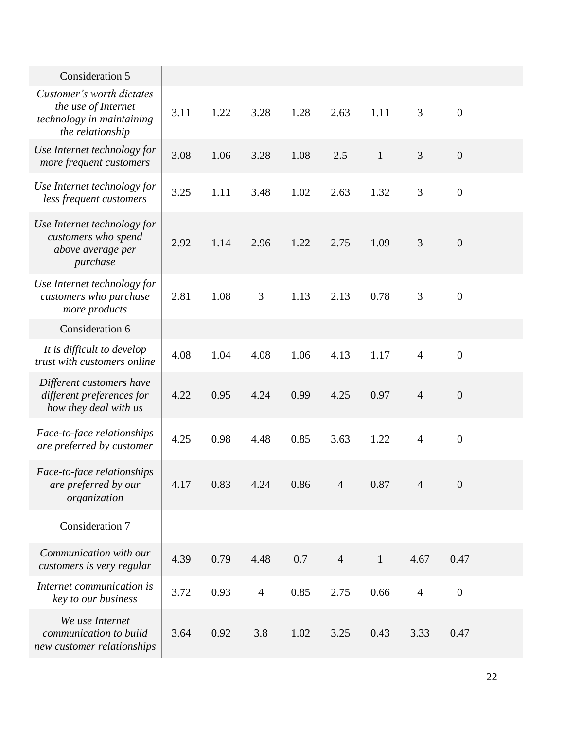| Consideration 5                                                                                   |      |      |                |      |                |              |                |                  |  |
|---------------------------------------------------------------------------------------------------|------|------|----------------|------|----------------|--------------|----------------|------------------|--|
| Customer's worth dictates<br>the use of Internet<br>technology in maintaining<br>the relationship | 3.11 | 1.22 | 3.28           | 1.28 | 2.63           | 1.11         | 3              | $\boldsymbol{0}$ |  |
| Use Internet technology for<br>more frequent customers                                            | 3.08 | 1.06 | 3.28           | 1.08 | 2.5            | $\mathbf{1}$ | 3              | $\boldsymbol{0}$ |  |
| Use Internet technology for<br>less frequent customers                                            | 3.25 | 1.11 | 3.48           | 1.02 | 2.63           | 1.32         | 3              | $\boldsymbol{0}$ |  |
| Use Internet technology for<br>customers who spend<br>above average per<br>purchase               | 2.92 | 1.14 | 2.96           | 1.22 | 2.75           | 1.09         | 3              | $\boldsymbol{0}$ |  |
| Use Internet technology for<br>customers who purchase<br>more products                            | 2.81 | 1.08 | 3              | 1.13 | 2.13           | 0.78         | 3              | $\boldsymbol{0}$ |  |
| Consideration 6                                                                                   |      |      |                |      |                |              |                |                  |  |
| It is difficult to develop<br>trust with customers online                                         | 4.08 | 1.04 | 4.08           | 1.06 | 4.13           | 1.17         | $\overline{4}$ | $\boldsymbol{0}$ |  |
| Different customers have<br>different preferences for<br>how they deal with us                    | 4.22 | 0.95 | 4.24           | 0.99 | 4.25           | 0.97         | $\overline{4}$ | $\boldsymbol{0}$ |  |
| Face-to-face relationships<br>are preferred by customer                                           | 4.25 | 0.98 | 4.48           | 0.85 | 3.63           | 1.22         | $\overline{4}$ | $\boldsymbol{0}$ |  |
| Face-to-face relationships<br>are preferred by our<br>organization                                | 4.17 | 0.83 | 4.24           | 0.86 | $\overline{4}$ | 0.87         | $\overline{4}$ | $\boldsymbol{0}$ |  |
| Consideration 7                                                                                   |      |      |                |      |                |              |                |                  |  |
| Communication with our<br>customers is very regular                                               | 4.39 | 0.79 | 4.48           | 0.7  | $\overline{4}$ | $\mathbf{1}$ | 4.67           | 0.47             |  |
| Internet communication is<br>key to our business                                                  | 3.72 | 0.93 | $\overline{4}$ | 0.85 | 2.75           | 0.66         | $\overline{4}$ | $\boldsymbol{0}$ |  |
| We use Internet<br>communication to build<br>new customer relationships                           | 3.64 | 0.92 | 3.8            | 1.02 | 3.25           | 0.43         | 3.33           | 0.47             |  |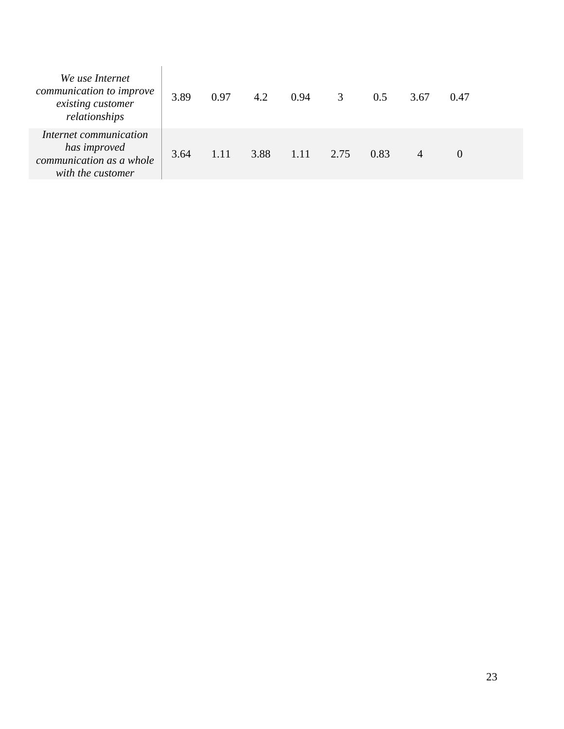| We use Internet<br>communication to improve<br>existing customer<br>relationships       | 3.89 | 0.97 | 4.2  | 0.94 | 3    | 0.5  | 3.67 | 0.47     |  |
|-----------------------------------------------------------------------------------------|------|------|------|------|------|------|------|----------|--|
| Internet communication<br>has improved<br>communication as a whole<br>with the customer | 3.64 | 1.11 | 3.88 | 1.11 | 2.75 | 0.83 | 4    | $\theta$ |  |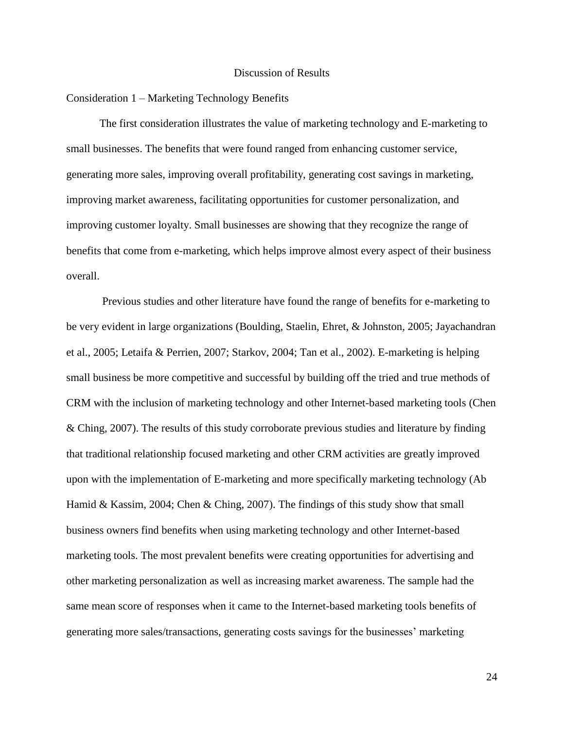#### Discussion of Results

#### <span id="page-28-0"></span>Consideration 1 – Marketing Technology Benefits

The first consideration illustrates the value of marketing technology and E-marketing to small businesses. The benefits that were found ranged from enhancing customer service, generating more sales, improving overall profitability, generating cost savings in marketing, improving market awareness, facilitating opportunities for customer personalization, and improving customer loyalty. Small businesses are showing that they recognize the range of benefits that come from e-marketing, which helps improve almost every aspect of their business overall.

Previous studies and other literature have found the range of benefits for e-marketing to be very evident in large organizations (Boulding, Staelin, Ehret, & Johnston, 2005; Jayachandran et al., 2005; Letaifa & Perrien, 2007; Starkov, 2004; Tan et al., 2002). E-marketing is helping small business be more competitive and successful by building off the tried and true methods of CRM with the inclusion of marketing technology and other Internet-based marketing tools (Chen & Ching, 2007). The results of this study corroborate previous studies and literature by finding that traditional relationship focused marketing and other CRM activities are greatly improved upon with the implementation of E-marketing and more specifically marketing technology (Ab Hamid & Kassim, 2004; Chen & Ching, 2007). The findings of this study show that small business owners find benefits when using marketing technology and other Internet-based marketing tools. The most prevalent benefits were creating opportunities for advertising and other marketing personalization as well as increasing market awareness. The sample had the same mean score of responses when it came to the Internet-based marketing tools benefits of generating more sales/transactions, generating costs savings for the businesses' marketing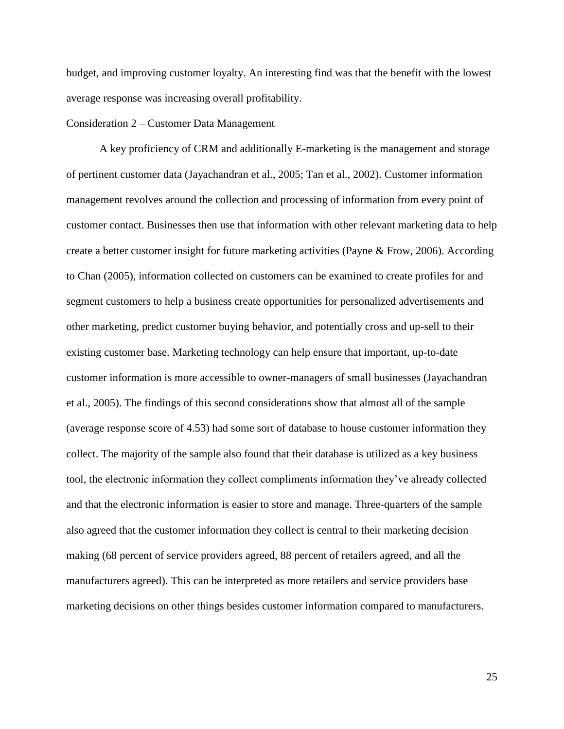budget, and improving customer loyalty. An interesting find was that the benefit with the lowest average response was increasing overall profitability.

#### Consideration 2 – Customer Data Management

A key proficiency of CRM and additionally E-marketing is the management and storage of pertinent customer data (Jayachandran et al., 2005; Tan et al., 2002). Customer information management revolves around the collection and processing of information from every point of customer contact. Businesses then use that information with other relevant marketing data to help create a better customer insight for future marketing activities (Payne & Frow, 2006). According to Chan (2005), information collected on customers can be examined to create profiles for and segment customers to help a business create opportunities for personalized advertisements and other marketing, predict customer buying behavior, and potentially cross and up-sell to their existing customer base. Marketing technology can help ensure that important, up-to-date customer information is more accessible to owner-managers of small businesses (Jayachandran et al., 2005). The findings of this second considerations show that almost all of the sample (average response score of 4.53) had some sort of database to house customer information they collect. The majority of the sample also found that their database is utilized as a key business tool, the electronic information they collect compliments information they've already collected and that the electronic information is easier to store and manage. Three-quarters of the sample also agreed that the customer information they collect is central to their marketing decision making (68 percent of service providers agreed, 88 percent of retailers agreed, and all the manufacturers agreed). This can be interpreted as more retailers and service providers base marketing decisions on other things besides customer information compared to manufacturers.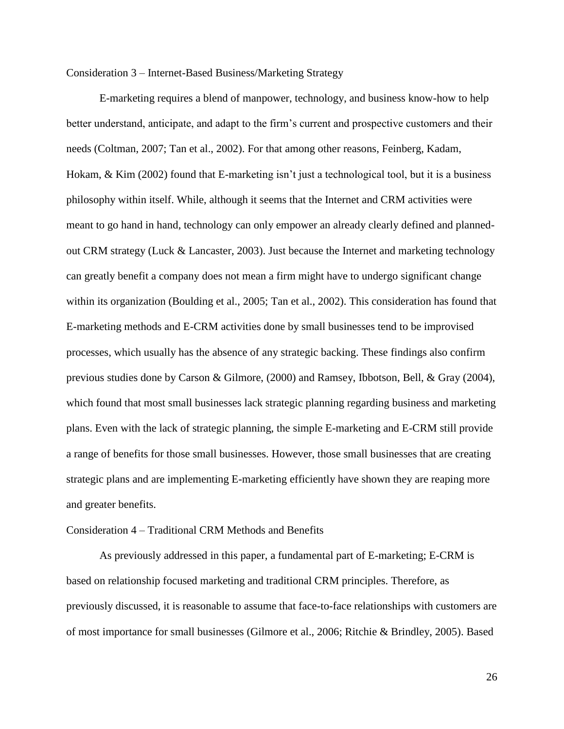Consideration 3 – Internet-Based Business/Marketing Strategy

E-marketing requires a blend of manpower, technology, and business know-how to help better understand, anticipate, and adapt to the firm's current and prospective customers and their needs (Coltman, 2007; Tan et al., 2002). For that among other reasons, Feinberg, Kadam, Hokam, & Kim (2002) found that E-marketing isn't just a technological tool, but it is a business philosophy within itself. While, although it seems that the Internet and CRM activities were meant to go hand in hand, technology can only empower an already clearly defined and plannedout CRM strategy (Luck & Lancaster, 2003). Just because the Internet and marketing technology can greatly benefit a company does not mean a firm might have to undergo significant change within its organization (Boulding et al., 2005; Tan et al., 2002). This consideration has found that E-marketing methods and E-CRM activities done by small businesses tend to be improvised processes, which usually has the absence of any strategic backing. These findings also confirm previous studies done by Carson & Gilmore, (2000) and Ramsey, Ibbotson, Bell, & Gray (2004), which found that most small businesses lack strategic planning regarding business and marketing plans. Even with the lack of strategic planning, the simple E-marketing and E-CRM still provide a range of benefits for those small businesses. However, those small businesses that are creating strategic plans and are implementing E-marketing efficiently have shown they are reaping more and greater benefits.

#### Consideration 4 – Traditional CRM Methods and Benefits

As previously addressed in this paper, a fundamental part of E-marketing; E-CRM is based on relationship focused marketing and traditional CRM principles. Therefore, as previously discussed, it is reasonable to assume that face-to-face relationships with customers are of most importance for small businesses (Gilmore et al., 2006; Ritchie & Brindley, 2005). Based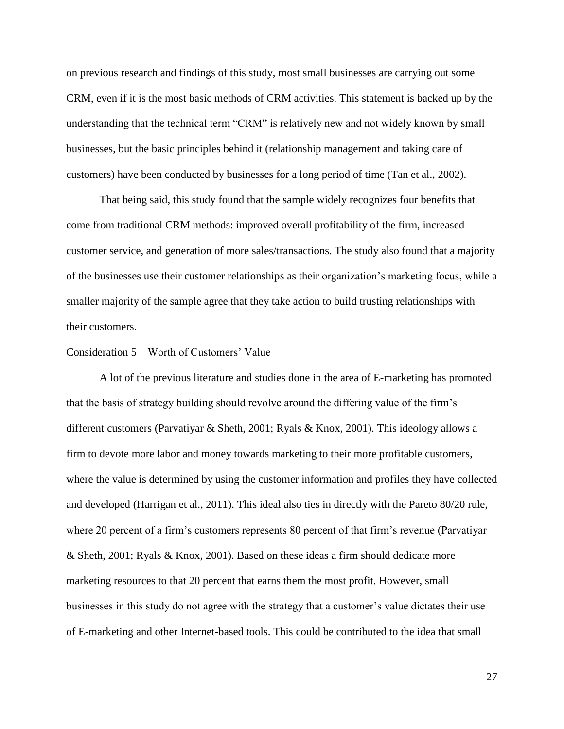on previous research and findings of this study, most small businesses are carrying out some CRM, even if it is the most basic methods of CRM activities. This statement is backed up by the understanding that the technical term "CRM" is relatively new and not widely known by small businesses, but the basic principles behind it (relationship management and taking care of customers) have been conducted by businesses for a long period of time (Tan et al., 2002).

That being said, this study found that the sample widely recognizes four benefits that come from traditional CRM methods: improved overall profitability of the firm, increased customer service, and generation of more sales/transactions. The study also found that a majority of the businesses use their customer relationships as their organization's marketing focus, while a smaller majority of the sample agree that they take action to build trusting relationships with their customers.

#### Consideration 5 – Worth of Customers' Value

A lot of the previous literature and studies done in the area of E-marketing has promoted that the basis of strategy building should revolve around the differing value of the firm's different customers (Parvatiyar & Sheth, 2001; Ryals & Knox, 2001). This ideology allows a firm to devote more labor and money towards marketing to their more profitable customers, where the value is determined by using the customer information and profiles they have collected and developed (Harrigan et al., 2011). This ideal also ties in directly with the Pareto 80/20 rule, where 20 percent of a firm's customers represents 80 percent of that firm's revenue (Parvatiyar & Sheth, 2001; Ryals & Knox, 2001). Based on these ideas a firm should dedicate more marketing resources to that 20 percent that earns them the most profit. However, small businesses in this study do not agree with the strategy that a customer's value dictates their use of E-marketing and other Internet-based tools. This could be contributed to the idea that small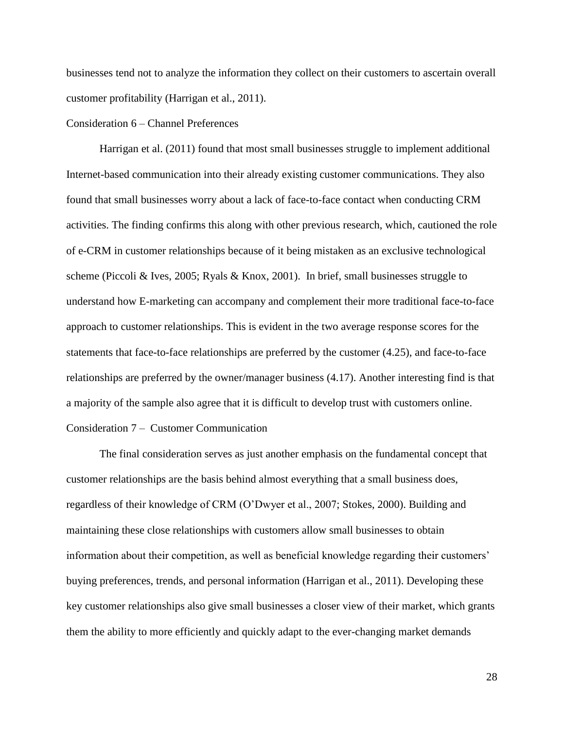businesses tend not to analyze the information they collect on their customers to ascertain overall customer profitability (Harrigan et al., 2011).

# Consideration 6 – Channel Preferences

Harrigan et al. (2011) found that most small businesses struggle to implement additional Internet-based communication into their already existing customer communications. They also found that small businesses worry about a lack of face-to-face contact when conducting CRM activities. The finding confirms this along with other previous research, which, cautioned the role of e-CRM in customer relationships because of it being mistaken as an exclusive technological scheme (Piccoli & Ives, 2005; Ryals & Knox, 2001). In brief, small businesses struggle to understand how E-marketing can accompany and complement their more traditional face-to-face approach to customer relationships. This is evident in the two average response scores for the statements that face-to-face relationships are preferred by the customer (4.25), and face-to-face relationships are preferred by the owner/manager business (4.17). Another interesting find is that a majority of the sample also agree that it is difficult to develop trust with customers online. Consideration 7 – Customer Communication

The final consideration serves as just another emphasis on the fundamental concept that customer relationships are the basis behind almost everything that a small business does, regardless of their knowledge of CRM (O'Dwyer et al., 2007; Stokes, 2000). Building and maintaining these close relationships with customers allow small businesses to obtain information about their competition, as well as beneficial knowledge regarding their customers' buying preferences, trends, and personal information (Harrigan et al., 2011). Developing these key customer relationships also give small businesses a closer view of their market, which grants them the ability to more efficiently and quickly adapt to the ever-changing market demands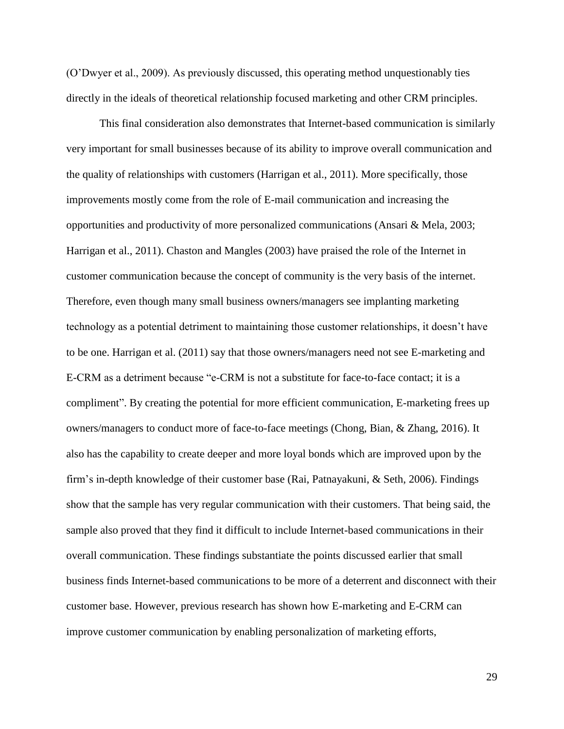(O'Dwyer et al., 2009). As previously discussed, this operating method unquestionably ties directly in the ideals of theoretical relationship focused marketing and other CRM principles.

This final consideration also demonstrates that Internet-based communication is similarly very important for small businesses because of its ability to improve overall communication and the quality of relationships with customers (Harrigan et al., 2011). More specifically, those improvements mostly come from the role of E-mail communication and increasing the opportunities and productivity of more personalized communications (Ansari & Mela, 2003; Harrigan et al., 2011). Chaston and Mangles (2003) have praised the role of the Internet in customer communication because the concept of community is the very basis of the internet. Therefore, even though many small business owners/managers see implanting marketing technology as a potential detriment to maintaining those customer relationships, it doesn't have to be one. Harrigan et al. (2011) say that those owners/managers need not see E-marketing and E-CRM as a detriment because "e-CRM is not a substitute for face-to-face contact; it is a compliment". By creating the potential for more efficient communication, E-marketing frees up owners/managers to conduct more of face-to-face meetings (Chong, Bian, & Zhang, 2016). It also has the capability to create deeper and more loyal bonds which are improved upon by the firm's in-depth knowledge of their customer base (Rai, Patnayakuni, & Seth, 2006). Findings show that the sample has very regular communication with their customers. That being said, the sample also proved that they find it difficult to include Internet-based communications in their overall communication. These findings substantiate the points discussed earlier that small business finds Internet-based communications to be more of a deterrent and disconnect with their customer base. However, previous research has shown how E-marketing and E-CRM can improve customer communication by enabling personalization of marketing efforts,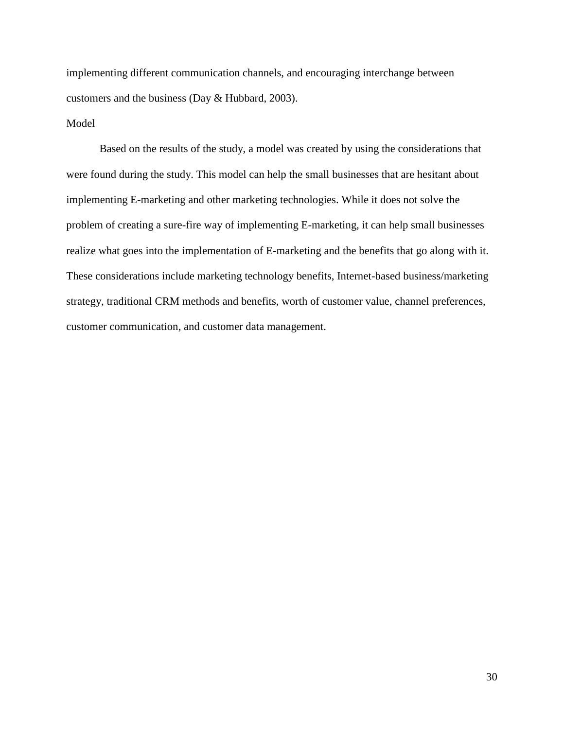implementing different communication channels, and encouraging interchange between customers and the business (Day & Hubbard, 2003).

# Model

Based on the results of the study, a model was created by using the considerations that were found during the study. This model can help the small businesses that are hesitant about implementing E-marketing and other marketing technologies. While it does not solve the problem of creating a sure-fire way of implementing E-marketing, it can help small businesses realize what goes into the implementation of E-marketing and the benefits that go along with it. These considerations include marketing technology benefits, Internet-based business/marketing strategy, traditional CRM methods and benefits, worth of customer value, channel preferences, customer communication, and customer data management.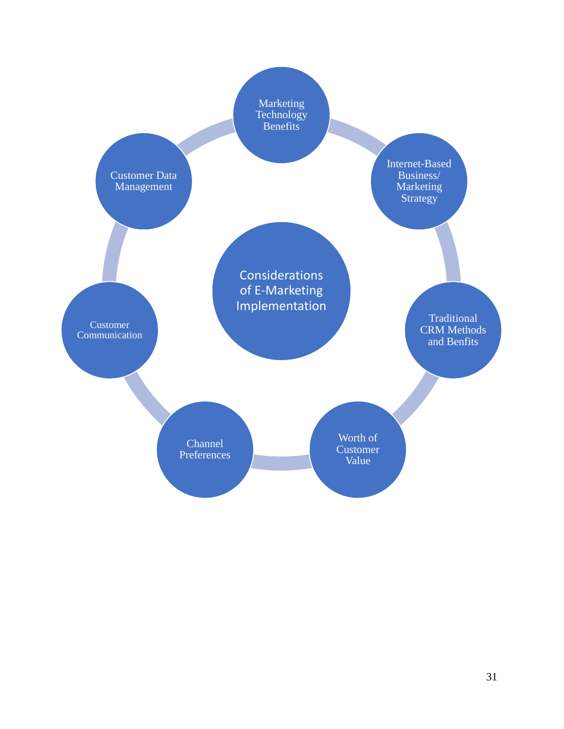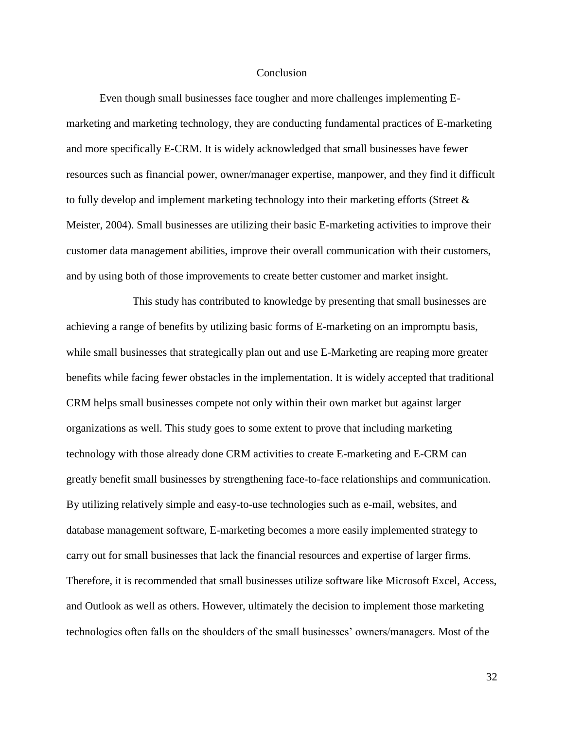#### **Conclusion**

<span id="page-36-0"></span>Even though small businesses face tougher and more challenges implementing Emarketing and marketing technology, they are conducting fundamental practices of E-marketing and more specifically E-CRM. It is widely acknowledged that small businesses have fewer resources such as financial power, owner/manager expertise, manpower, and they find it difficult to fully develop and implement marketing technology into their marketing efforts (Street & Meister, 2004). Small businesses are utilizing their basic E-marketing activities to improve their customer data management abilities, improve their overall communication with their customers, and by using both of those improvements to create better customer and market insight.

This study has contributed to knowledge by presenting that small businesses are achieving a range of benefits by utilizing basic forms of E-marketing on an impromptu basis, while small businesses that strategically plan out and use E-Marketing are reaping more greater benefits while facing fewer obstacles in the implementation. It is widely accepted that traditional CRM helps small businesses compete not only within their own market but against larger organizations as well. This study goes to some extent to prove that including marketing technology with those already done CRM activities to create E-marketing and E-CRM can greatly benefit small businesses by strengthening face-to-face relationships and communication. By utilizing relatively simple and easy-to-use technologies such as e-mail, websites, and database management software, E-marketing becomes a more easily implemented strategy to carry out for small businesses that lack the financial resources and expertise of larger firms. Therefore, it is recommended that small businesses utilize software like Microsoft Excel, Access, and Outlook as well as others. However, ultimately the decision to implement those marketing technologies often falls on the shoulders of the small businesses' owners/managers. Most of the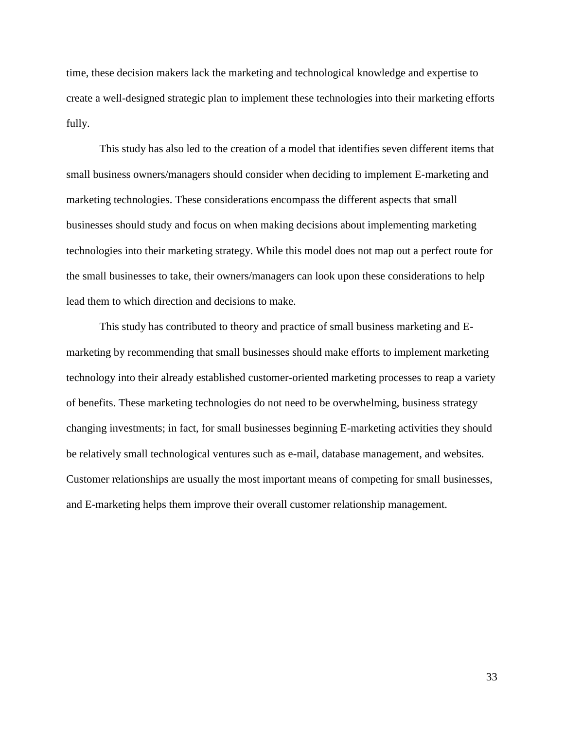time, these decision makers lack the marketing and technological knowledge and expertise to create a well-designed strategic plan to implement these technologies into their marketing efforts fully.

This study has also led to the creation of a model that identifies seven different items that small business owners/managers should consider when deciding to implement E-marketing and marketing technologies. These considerations encompass the different aspects that small businesses should study and focus on when making decisions about implementing marketing technologies into their marketing strategy. While this model does not map out a perfect route for the small businesses to take, their owners/managers can look upon these considerations to help lead them to which direction and decisions to make.

This study has contributed to theory and practice of small business marketing and Emarketing by recommending that small businesses should make efforts to implement marketing technology into their already established customer-oriented marketing processes to reap a variety of benefits. These marketing technologies do not need to be overwhelming, business strategy changing investments; in fact, for small businesses beginning E-marketing activities they should be relatively small technological ventures such as e-mail, database management, and websites. Customer relationships are usually the most important means of competing for small businesses, and E-marketing helps them improve their overall customer relationship management.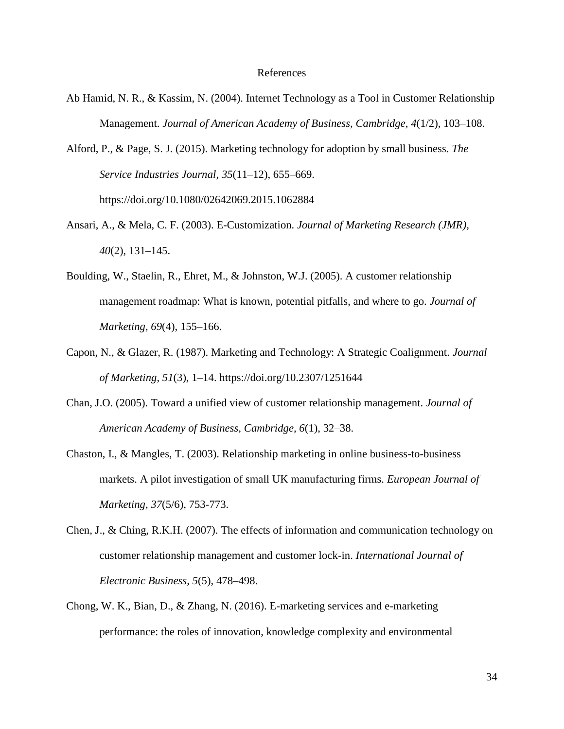#### References

- <span id="page-38-0"></span>Ab Hamid, N. R., & Kassim, N. (2004). Internet Technology as a Tool in Customer Relationship Management. *Journal of American Academy of Business, Cambridge*, *4*(1/2), 103–108.
- Alford, P., & Page, S. J. (2015). Marketing technology for adoption by small business. *The Service Industries Journal*, *35*(11–12), 655–669. https://doi.org/10.1080/02642069.2015.1062884
- Ansari, A., & Mela, C. F. (2003). E-Customization. *Journal of Marketing Research (JMR)*, *40*(2), 131–145.
- Boulding, W., Staelin, R., Ehret, M., & Johnston, W.J. (2005). A customer relationship management roadmap: What is known, potential pitfalls, and where to go. *Journal of Marketing, 69*(4), 155–166.
- Capon, N., & Glazer, R. (1987). Marketing and Technology: A Strategic Coalignment. *Journal of Marketing*, *51*(3), 1–14. https://doi.org/10.2307/1251644
- Chan, J.O. (2005). Toward a unified view of customer relationship management. *Journal of American Academy of Business, Cambridge, 6*(1), 32–38.
- Chaston, I., & Mangles, T. (2003). Relationship marketing in online business-to-business markets. A pilot investigation of small UK manufacturing firms. *European Journal of Marketing, 37*(5/6), 753-773.
- Chen, J., & Ching, R.K.H. (2007). The effects of information and communication technology on customer relationship management and customer lock-in. *International Journal of Electronic Business, 5*(5), 478–498.
- Chong, W. K., Bian, D., & Zhang, N. (2016). E-marketing services and e-marketing performance: the roles of innovation, knowledge complexity and environmental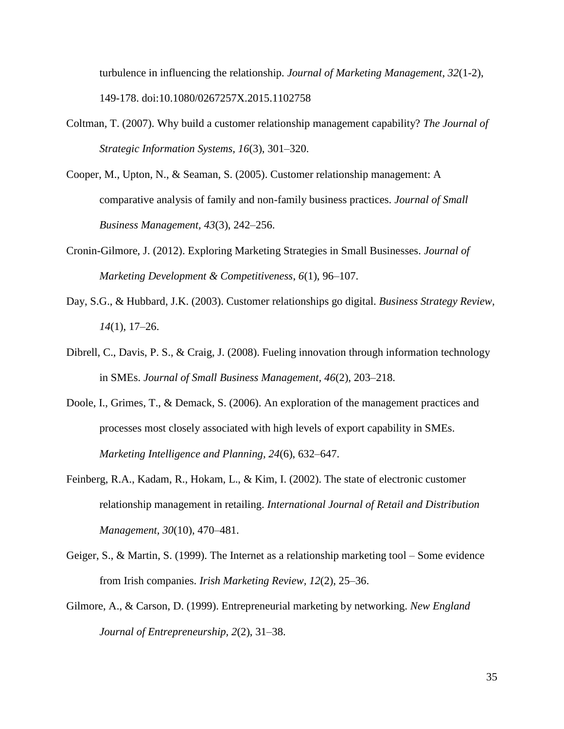turbulence in influencing the relationship. *Journal of Marketing Management, 32*(1-2), 149-178. doi:10.1080/0267257X.2015.1102758

- Coltman, T. (2007). Why build a customer relationship management capability? *The Journal of Strategic Information Systems, 16*(3), 301–320.
- Cooper, M., Upton, N., & Seaman, S. (2005). Customer relationship management: A comparative analysis of family and non-family business practices. *Journal of Small Business Management, 43*(3), 242–256.
- Cronin-Gilmore, J. (2012). Exploring Marketing Strategies in Small Businesses. *Journal of Marketing Development & Competitiveness*, *6*(1), 96–107.
- Day, S.G., & Hubbard, J.K. (2003). Customer relationships go digital. *Business Strategy Review, 14*(1), 17–26.
- Dibrell, C., Davis, P. S., & Craig, J. (2008). Fueling innovation through information technology in SMEs. *Journal of Small Business Management, 46*(2), 203–218.
- Doole, I., Grimes, T., & Demack, S. (2006). An exploration of the management practices and processes most closely associated with high levels of export capability in SMEs. *Marketing Intelligence and Planning, 24*(6), 632–647.
- Feinberg, R.A., Kadam, R., Hokam, L., & Kim, I. (2002). The state of electronic customer relationship management in retailing. *International Journal of Retail and Distribution Management, 30*(10), 470–481.
- Geiger, S., & Martin, S. (1999). The Internet as a relationship marketing tool Some evidence from Irish companies. *Irish Marketing Review, 12*(2), 25–36.
- Gilmore, A., & Carson, D. (1999). Entrepreneurial marketing by networking. *New England Journal of Entrepreneurship, 2*(2), 31–38.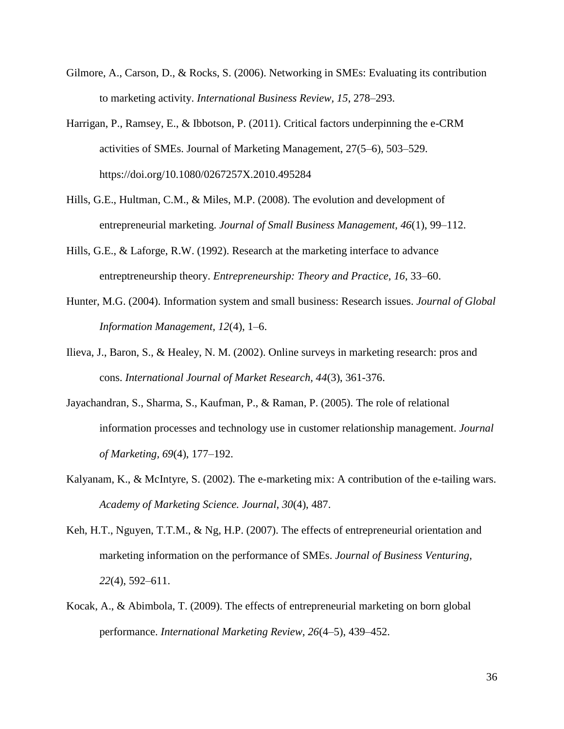- Gilmore, A., Carson, D., & Rocks, S. (2006). Networking in SMEs: Evaluating its contribution to marketing activity. *International Business Review, 15*, 278–293.
- Harrigan, P., Ramsey, E., & Ibbotson, P. (2011). Critical factors underpinning the e-CRM activities of SMEs. Journal of Marketing Management, 27(5–6), 503–529. https://doi.org/10.1080/0267257X.2010.495284
- Hills, G.E., Hultman, C.M., & Miles, M.P. (2008). The evolution and development of entrepreneurial marketing. *Journal of Small Business Management, 46*(1), 99–112.
- Hills, G.E., & Laforge, R.W. (1992). Research at the marketing interface to advance entreptreneurship theory. *Entrepreneurship: Theory and Practice, 16*, 33–60.
- Hunter, M.G. (2004). Information system and small business: Research issues. *Journal of Global Information Management, 12*(4), 1–6.
- Ilieva, J., Baron, S., & Healey, N. M. (2002). Online surveys in marketing research: pros and cons. *International Journal of Market Research, 44*(3), 361-376.
- Jayachandran, S., Sharma, S., Kaufman, P., & Raman, P. (2005). The role of relational information processes and technology use in customer relationship management. *Journal of Marketing, 69*(4), 177–192.
- Kalyanam, K., & McIntyre, S. (2002). The e-marketing mix: A contribution of the e-tailing wars. *Academy of Marketing Science. Journal*, *30*(4), 487.
- Keh, H.T., Nguyen, T.T.M., & Ng, H.P. (2007). The effects of entrepreneurial orientation and marketing information on the performance of SMEs. *Journal of Business Venturing, 22*(4), 592–611.
- Kocak, A., & Abimbola, T. (2009). The effects of entrepreneurial marketing on born global performance. *International Marketing Review, 26*(4–5), 439–452.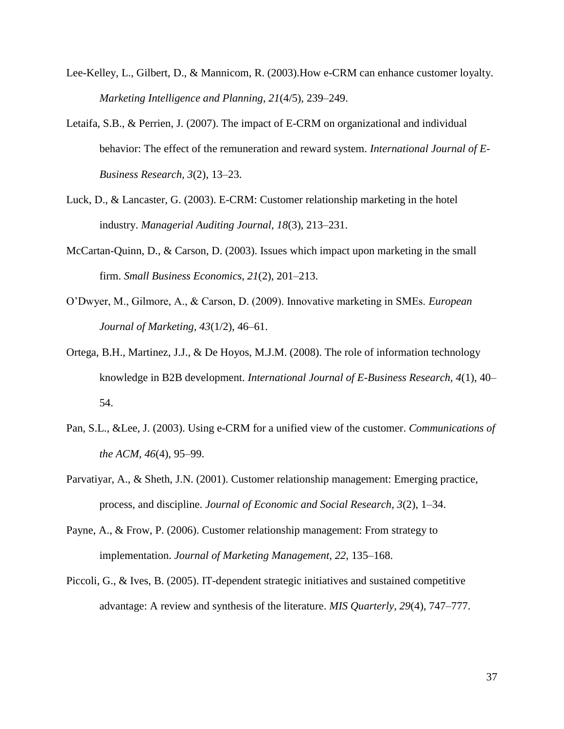- Lee-Kelley, L., Gilbert, D., & Mannicom, R. (2003).How e-CRM can enhance customer loyalty. *Marketing Intelligence and Planning, 21*(4/5), 239–249.
- Letaifa, S.B., & Perrien, J. (2007). The impact of E-CRM on organizational and individual behavior: The effect of the remuneration and reward system. *International Journal of E-Business Research, 3*(2), 13–23.
- Luck, D., & Lancaster, G. (2003). E-CRM: Customer relationship marketing in the hotel industry. *Managerial Auditing Journal, 18*(3), 213–231.
- McCartan-Quinn, D., & Carson, D. (2003). Issues which impact upon marketing in the small firm. *Small Business Economics*, *21*(2), 201–213.
- O'Dwyer, M., Gilmore, A., & Carson, D. (2009). Innovative marketing in SMEs. *European Journal of Marketing, 43*(1/2), 46–61.
- Ortega, B.H., Martinez, J.J., & De Hoyos, M.J.M. (2008). The role of information technology knowledge in B2B development. *International Journal of E-Business Research, 4*(1), 40– 54.
- Pan, S.L., &Lee, J. (2003). Using e-CRM for a unified view of the customer. *Communications of the ACM, 46*(4), 95–99.
- Parvatiyar, A., & Sheth, J.N. (2001). Customer relationship management: Emerging practice, process, and discipline. *Journal of Economic and Social Research, 3*(2), 1–34.
- Payne, A., & Frow, P. (2006). Customer relationship management: From strategy to implementation. *Journal of Marketing Management, 22,* 135–168.
- Piccoli, G., & Ives, B. (2005). IT-dependent strategic initiatives and sustained competitive advantage: A review and synthesis of the literature. *MIS Quarterly, 29*(4), 747–777.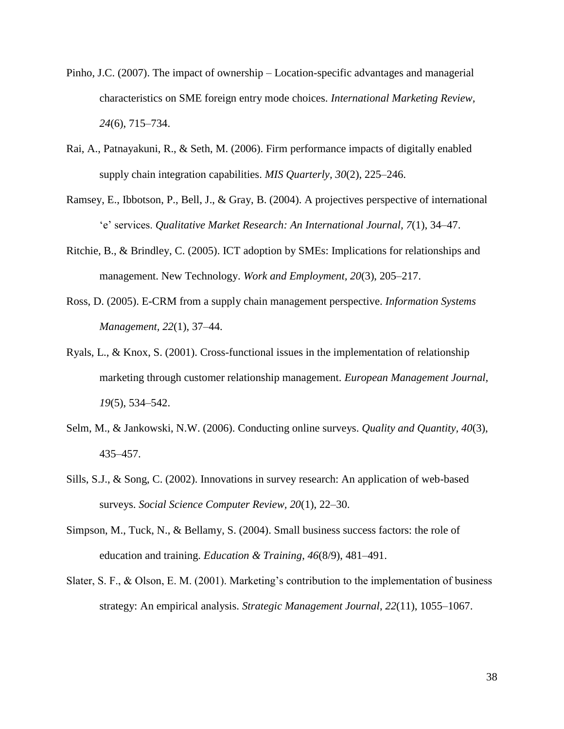- Pinho, J.C. (2007). The impact of ownership Location-specific advantages and managerial characteristics on SME foreign entry mode choices. *International Marketing Review, 24*(6), 715–734.
- Rai, A., Patnayakuni, R., & Seth, M. (2006). Firm performance impacts of digitally enabled supply chain integration capabilities. *MIS Quarterly, 30*(2), 225–246.
- Ramsey, E., Ibbotson, P., Bell, J., & Gray, B. (2004). A projectives perspective of international 'e' services. *Qualitative Market Research: An International Journal, 7*(1), 34–47.
- Ritchie, B., & Brindley, C. (2005). ICT adoption by SMEs: Implications for relationships and management. New Technology. *Work and Employment, 20*(3), 205–217.
- Ross, D. (2005). E-CRM from a supply chain management perspective. *Information Systems Management, 22*(1), 37–44.
- Ryals, L., & Knox, S. (2001). Cross-functional issues in the implementation of relationship marketing through customer relationship management. *European Management Journal, 19*(5), 534–542.
- Selm, M., & Jankowski, N.W. (2006). Conducting online surveys. *Quality and Quantity, 40*(3), 435–457.
- Sills, S.J., & Song, C. (2002). Innovations in survey research: An application of web-based surveys. *Social Science Computer Review, 20*(1), 22–30.
- Simpson, M., Tuck, N., & Bellamy, S. (2004). Small business success factors: the role of education and training. *Education & Training*, *46*(8/9), 481–491.
- Slater, S. F., & Olson, E. M. (2001). Marketing's contribution to the implementation of business strategy: An empirical analysis. *Strategic Management Journal*, *22*(11), 1055–1067.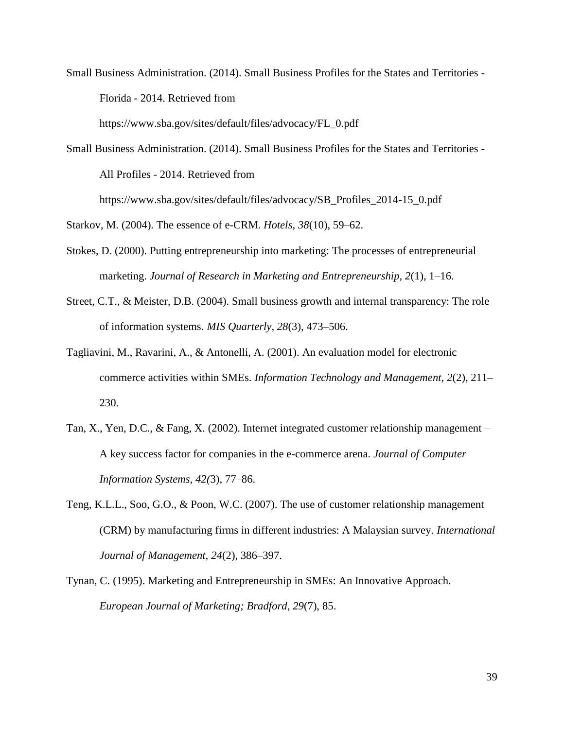Small Business Administration. (2014). Small Business Profiles for the States and Territories - Florida - 2014. Retrieved from

https://www.sba.gov/sites/default/files/advocacy/FL\_0.pdf

Small Business Administration. (2014). Small Business Profiles for the States and Territories - All Profiles - 2014. Retrieved from https://www.sba.gov/sites/default/files/advocacy/SB\_Profiles\_2014-15\_0.pdf

Starkov, M. (2004). The essence of e-CRM. *Hotels, 38*(10), 59–62.

- Stokes, D. (2000). Putting entrepreneurship into marketing: The processes of entrepreneurial marketing. *Journal of Research in Marketing and Entrepreneurship, 2*(1), 1–16.
- Street, C.T., & Meister, D.B. (2004). Small business growth and internal transparency: The role of information systems. *MIS Quarterly, 28*(3), 473–506.
- Tagliavini, M., Ravarini, A., & Antonelli, A. (2001). An evaluation model for electronic commerce activities within SMEs. *Information Technology and Management, 2*(2), 211– 230.
- Tan, X., Yen, D.C., & Fang, X. (2002). Internet integrated customer relationship management A key success factor for companies in the e-commerce arena. *Journal of Computer Information Systems, 42(*3), 77–86.
- Teng, K.L.L., Soo, G.O., & Poon, W.C. (2007). The use of customer relationship management (CRM) by manufacturing firms in different industries: A Malaysian survey. *International Journal of Management, 24*(2), 386–397.
- Tynan, C. (1995). Marketing and Entrepreneurship in SMEs: An Innovative Approach. *European Journal of Marketing; Bradford*, *29*(7), 85.